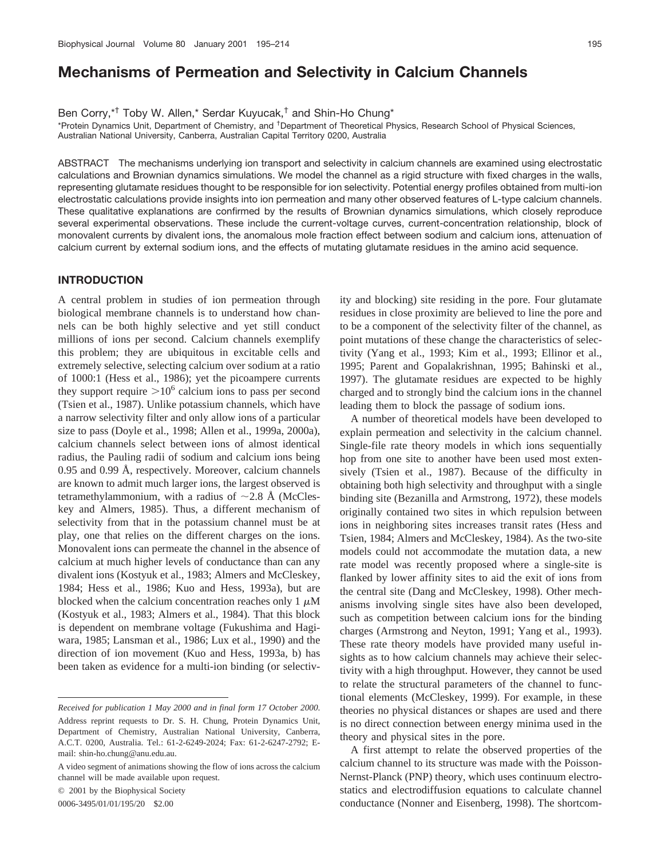# **Mechanisms of Permeation and Selectivity in Calcium Channels**

Ben Corry,\*† Toby W. Allen,\* Serdar Kuyucak,† and Shin-Ho Chung\*

\*Protein Dynamics Unit, Department of Chemistry, and † Department of Theoretical Physics, Research School of Physical Sciences, Australian National University, Canberra, Australian Capital Territory 0200, Australia

ABSTRACT The mechanisms underlying ion transport and selectivity in calcium channels are examined using electrostatic calculations and Brownian dynamics simulations. We model the channel as a rigid structure with fixed charges in the walls, representing glutamate residues thought to be responsible for ion selectivity. Potential energy profiles obtained from multi-ion electrostatic calculations provide insights into ion permeation and many other observed features of L-type calcium channels. These qualitative explanations are confirmed by the results of Brownian dynamics simulations, which closely reproduce several experimental observations. These include the current-voltage curves, current-concentration relationship, block of monovalent currents by divalent ions, the anomalous mole fraction effect between sodium and calcium ions, attenuation of calcium current by external sodium ions, and the effects of mutating glutamate residues in the amino acid sequence.

# **INTRODUCTION**

A central problem in studies of ion permeation through biological membrane channels is to understand how channels can be both highly selective and yet still conduct millions of ions per second. Calcium channels exemplify this problem; they are ubiquitous in excitable cells and extremely selective, selecting calcium over sodium at a ratio of 1000:1 (Hess et al., 1986); yet the picoampere currents they support require  $>10^6$  calcium ions to pass per second (Tsien et al., 1987). Unlike potassium channels, which have a narrow selectivity filter and only allow ions of a particular size to pass (Doyle et al., 1998; Allen et al., 1999a, 2000a), calcium channels select between ions of almost identical radius, the Pauling radii of sodium and calcium ions being 0.95 and 0.99 Å, respectively. Moreover, calcium channels are known to admit much larger ions, the largest observed is tetramethylammonium, with a radius of  $\sim$ 2.8 Å (McCleskey and Almers, 1985). Thus, a different mechanism of selectivity from that in the potassium channel must be at play, one that relies on the different charges on the ions. Monovalent ions can permeate the channel in the absence of calcium at much higher levels of conductance than can any divalent ions (Kostyuk et al., 1983; Almers and McCleskey, 1984; Hess et al., 1986; Kuo and Hess, 1993a), but are blocked when the calcium concentration reaches only 1  $\mu$ M (Kostyuk et al., 1983; Almers et al., 1984). That this block is dependent on membrane voltage (Fukushima and Hagiwara, 1985; Lansman et al., 1986; Lux et al., 1990) and the direction of ion movement (Kuo and Hess, 1993a, b) has been taken as evidence for a multi-ion binding (or selectiv-

© 2001 by the Biophysical Society

0006-3495/01/01/195/20 \$2.00

ity and blocking) site residing in the pore. Four glutamate residues in close proximity are believed to line the pore and to be a component of the selectivity filter of the channel, as point mutations of these change the characteristics of selectivity (Yang et al., 1993; Kim et al., 1993; Ellinor et al., 1995; Parent and Gopalakrishnan, 1995; Bahinski et al., 1997). The glutamate residues are expected to be highly charged and to strongly bind the calcium ions in the channel leading them to block the passage of sodium ions.

A number of theoretical models have been developed to explain permeation and selectivity in the calcium channel. Single-file rate theory models in which ions sequentially hop from one site to another have been used most extensively (Tsien et al., 1987). Because of the difficulty in obtaining both high selectivity and throughput with a single binding site (Bezanilla and Armstrong, 1972), these models originally contained two sites in which repulsion between ions in neighboring sites increases transit rates (Hess and Tsien, 1984; Almers and McCleskey, 1984). As the two-site models could not accommodate the mutation data, a new rate model was recently proposed where a single-site is flanked by lower affinity sites to aid the exit of ions from the central site (Dang and McCleskey, 1998). Other mechanisms involving single sites have also been developed, such as competition between calcium ions for the binding charges (Armstrong and Neyton, 1991; Yang et al., 1993). These rate theory models have provided many useful insights as to how calcium channels may achieve their selectivity with a high throughput. However, they cannot be used to relate the structural parameters of the channel to functional elements (McCleskey, 1999). For example, in these theories no physical distances or shapes are used and there is no direct connection between energy minima used in the theory and physical sites in the pore.

A first attempt to relate the observed properties of the calcium channel to its structure was made with the Poisson-Nernst-Planck (PNP) theory, which uses continuum electrostatics and electrodiffusion equations to calculate channel conductance (Nonner and Eisenberg, 1998). The shortcom-

*Received for publication 1 May 2000 and in final form 17 October 2000*. Address reprint requests to Dr. S. H. Chung, Protein Dynamics Unit, Department of Chemistry, Australian National University, Canberra, A.C.T. 0200, Australia. Tel.: 61-2-6249-2024; Fax: 61-2-6247-2792; Email: shin-ho.chung@anu.edu.au.

A video segment of animations showing the flow of ions across the calcium channel will be made available upon request.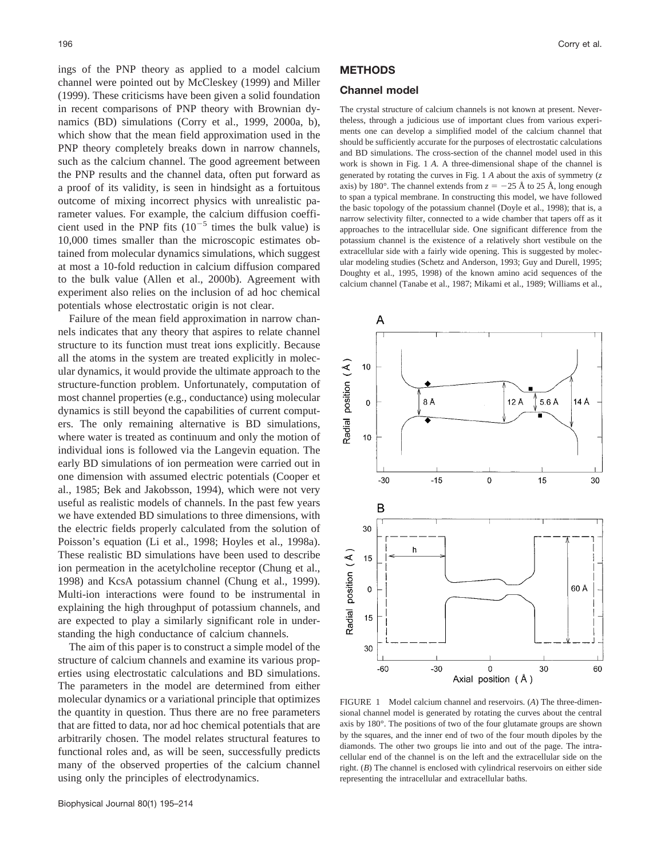ings of the PNP theory as applied to a model calcium channel were pointed out by McCleskey (1999) and Miller (1999). These criticisms have been given a solid foundation in recent comparisons of PNP theory with Brownian dynamics (BD) simulations (Corry et al., 1999, 2000a, b), which show that the mean field approximation used in the PNP theory completely breaks down in narrow channels, such as the calcium channel. The good agreement between the PNP results and the channel data, often put forward as a proof of its validity, is seen in hindsight as a fortuitous outcome of mixing incorrect physics with unrealistic parameter values. For example, the calcium diffusion coefficient used in the PNP fits  $(10^{-5}$  times the bulk value) is 10,000 times smaller than the microscopic estimates obtained from molecular dynamics simulations, which suggest at most a 10-fold reduction in calcium diffusion compared to the bulk value (Allen et al., 2000b). Agreement with experiment also relies on the inclusion of ad hoc chemical potentials whose electrostatic origin is not clear.

Failure of the mean field approximation in narrow channels indicates that any theory that aspires to relate channel structure to its function must treat ions explicitly. Because all the atoms in the system are treated explicitly in molecular dynamics, it would provide the ultimate approach to the structure-function problem. Unfortunately, computation of most channel properties (e.g., conductance) using molecular dynamics is still beyond the capabilities of current computers. The only remaining alternative is BD simulations, where water is treated as continuum and only the motion of individual ions is followed via the Langevin equation. The early BD simulations of ion permeation were carried out in one dimension with assumed electric potentials (Cooper et al., 1985; Bek and Jakobsson, 1994), which were not very useful as realistic models of channels. In the past few years we have extended BD simulations to three dimensions, with the electric fields properly calculated from the solution of Poisson's equation (Li et al., 1998; Hoyles et al., 1998a). These realistic BD simulations have been used to describe ion permeation in the acetylcholine receptor (Chung et al., 1998) and KcsA potassium channel (Chung et al., 1999). Multi-ion interactions were found to be instrumental in explaining the high throughput of potassium channels, and are expected to play a similarly significant role in understanding the high conductance of calcium channels.

The aim of this paper is to construct a simple model of the structure of calcium channels and examine its various properties using electrostatic calculations and BD simulations. The parameters in the model are determined from either molecular dynamics or a variational principle that optimizes the quantity in question. Thus there are no free parameters that are fitted to data, nor ad hoc chemical potentials that are arbitrarily chosen. The model relates structural features to functional roles and, as will be seen, successfully predicts many of the observed properties of the calcium channel using only the principles of electrodynamics.

# **METHODS**

# **Channel model**

The crystal structure of calcium channels is not known at present. Nevertheless, through a judicious use of important clues from various experiments one can develop a simplified model of the calcium channel that should be sufficiently accurate for the purposes of electrostatic calculations and BD simulations. The cross-section of the channel model used in this work is shown in Fig. 1 *A*. A three-dimensional shape of the channel is generated by rotating the curves in Fig. 1 *A* about the axis of symmetry (*z* axis) by 180°. The channel extends from  $z = -25 \text{ Å}$  to 25 Å, long enough to span a typical membrane. In constructing this model, we have followed the basic topology of the potassium channel (Doyle et al., 1998); that is, a narrow selectivity filter, connected to a wide chamber that tapers off as it approaches to the intracellular side. One significant difference from the potassium channel is the existence of a relatively short vestibule on the extracellular side with a fairly wide opening. This is suggested by molecular modeling studies (Schetz and Anderson, 1993; Guy and Durell, 1995; Doughty et al., 1995, 1998) of the known amino acid sequences of the calcium channel (Tanabe et al., 1987; Mikami et al., 1989; Williams et al.,



FIGURE 1 Model calcium channel and reservoirs. (*A*) The three-dimensional channel model is generated by rotating the curves about the central axis by 180°. The positions of two of the four glutamate groups are shown by the squares, and the inner end of two of the four mouth dipoles by the diamonds. The other two groups lie into and out of the page. The intracellular end of the channel is on the left and the extracellular side on the right. (*B*) The channel is enclosed with cylindrical reservoirs on either side representing the intracellular and extracellular baths.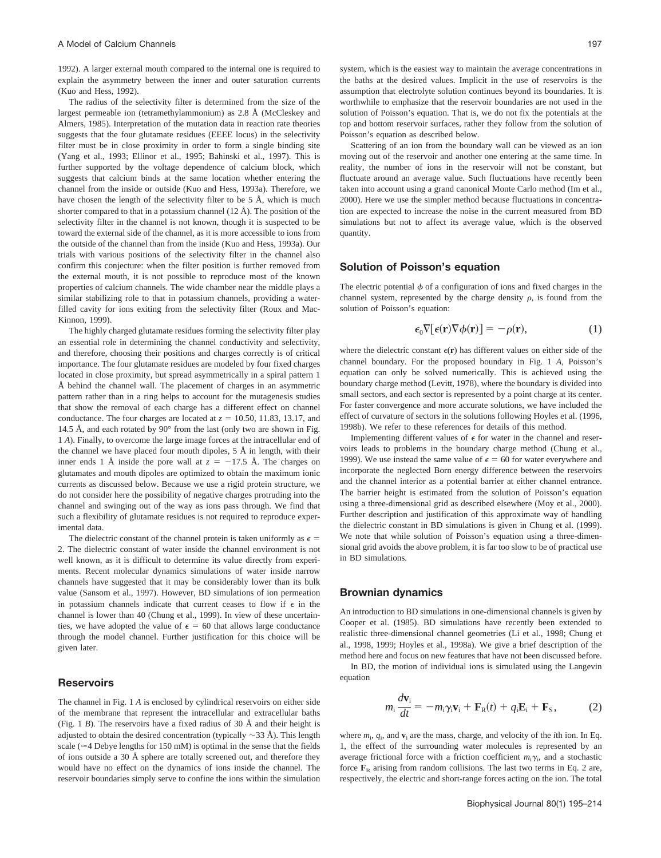1992). A larger external mouth compared to the internal one is required to explain the asymmetry between the inner and outer saturation currents (Kuo and Hess, 1992).

The radius of the selectivity filter is determined from the size of the largest permeable ion (tetramethylammonium) as 2.8 Å (McCleskey and Almers, 1985). Interpretation of the mutation data in reaction rate theories suggests that the four glutamate residues (EEEE locus) in the selectivity filter must be in close proximity in order to form a single binding site (Yang et al., 1993; Ellinor et al., 1995; Bahinski et al., 1997). This is further supported by the voltage dependence of calcium block, which suggests that calcium binds at the same location whether entering the channel from the inside or outside (Kuo and Hess, 1993a). Therefore, we have chosen the length of the selectivity filter to be 5 Å, which is much shorter compared to that in a potassium channel  $(12 \text{ Å})$ . The position of the selectivity filter in the channel is not known, though it is suspected to be toward the external side of the channel, as it is more accessible to ions from the outside of the channel than from the inside (Kuo and Hess, 1993a). Our trials with various positions of the selectivity filter in the channel also confirm this conjecture: when the filter position is further removed from the external mouth, it is not possible to reproduce most of the known properties of calcium channels. The wide chamber near the middle plays a similar stabilizing role to that in potassium channels, providing a waterfilled cavity for ions exiting from the selectivity filter (Roux and Mac-Kinnon, 1999).

The highly charged glutamate residues forming the selectivity filter play an essential role in determining the channel conductivity and selectivity, and therefore, choosing their positions and charges correctly is of critical importance. The four glutamate residues are modeled by four fixed charges located in close proximity, but spread asymmetrically in a spiral pattern 1 Å behind the channel wall. The placement of charges in an asymmetric pattern rather than in a ring helps to account for the mutagenesis studies that show the removal of each charge has a different effect on channel conductance. The four charges are located at  $z = 10.50$ , 11.83, 13.17, and 14.5 Å, and each rotated by 90° from the last (only two are shown in Fig. 1 *A*). Finally, to overcome the large image forces at the intracellular end of the channel we have placed four mouth dipoles, 5 Å in length, with their inner ends 1 Å inside the pore wall at  $z = -17.5$  Å. The charges on glutamates and mouth dipoles are optimized to obtain the maximum ionic currents as discussed below. Because we use a rigid protein structure, we do not consider here the possibility of negative charges protruding into the channel and swinging out of the way as ions pass through. We find that such a flexibility of glutamate residues is not required to reproduce experimental data.

The dielectric constant of the channel protein is taken uniformly as  $\epsilon$  = 2. The dielectric constant of water inside the channel environment is not well known, as it is difficult to determine its value directly from experiments. Recent molecular dynamics simulations of water inside narrow channels have suggested that it may be considerably lower than its bulk value (Sansom et al., 1997). However, BD simulations of ion permeation in potassium channels indicate that current ceases to flow if  $\epsilon$  in the channel is lower than 40 (Chung et al., 1999). In view of these uncertainties, we have adopted the value of  $\epsilon = 60$  that allows large conductance through the model channel. Further justification for this choice will be given later.

## **Reservoirs**

The channel in Fig. 1 *A* is enclosed by cylindrical reservoirs on either side of the membrane that represent the intracellular and extracellular baths (Fig. 1 *B*). The reservoirs have a fixed radius of 30 Å and their height is adjusted to obtain the desired concentration (typically  $\sim$ 33 Å). This length scale ( $\approx$  4 Debye lengths for 150 mM) is optimal in the sense that the fields of ions outside a 30 Å sphere are totally screened out, and therefore they would have no effect on the dynamics of ions inside the channel. The reservoir boundaries simply serve to confine the ions within the simulation

system, which is the easiest way to maintain the average concentrations in the baths at the desired values. Implicit in the use of reservoirs is the assumption that electrolyte solution continues beyond its boundaries. It is worthwhile to emphasize that the reservoir boundaries are not used in the solution of Poisson's equation. That is, we do not fix the potentials at the top and bottom reservoir surfaces, rather they follow from the solution of Poisson's equation as described below.

Scattering of an ion from the boundary wall can be viewed as an ion moving out of the reservoir and another one entering at the same time. In reality, the number of ions in the reservoir will not be constant, but fluctuate around an average value. Such fluctuations have recently been taken into account using a grand canonical Monte Carlo method (Im et al., 2000). Here we use the simpler method because fluctuations in concentration are expected to increase the noise in the current measured from BD simulations but not to affect its average value, which is the observed quantity.

## **Solution of Poisson's equation**

The electric potential  $\phi$  of a configuration of ions and fixed charges in the channel system, represented by the charge density  $\rho$ , is found from the solution of Poisson's equation:

$$
\epsilon_0 \nabla [\epsilon(\mathbf{r}) \nabla \phi(\mathbf{r})] = -\rho(\mathbf{r}), \qquad (1)
$$

where the dielectric constant  $\epsilon(\mathbf{r})$  has different values on either side of the channel boundary. For the proposed boundary in Fig. 1 *A*, Poisson's equation can only be solved numerically. This is achieved using the boundary charge method (Levitt, 1978), where the boundary is divided into small sectors, and each sector is represented by a point charge at its center. For faster convergence and more accurate solutions, we have included the effect of curvature of sectors in the solutions following Hoyles et al. (1996, 1998b). We refer to these references for details of this method.

Implementing different values of  $\epsilon$  for water in the channel and reservoirs leads to problems in the boundary charge method (Chung et al., 1999). We use instead the same value of  $\epsilon = 60$  for water everywhere and incorporate the neglected Born energy difference between the reservoirs and the channel interior as a potential barrier at either channel entrance. The barrier height is estimated from the solution of Poisson's equation using a three-dimensional grid as described elsewhere (Moy et al., 2000). Further description and justification of this approximate way of handling the dielectric constant in BD simulations is given in Chung et al. (1999). We note that while solution of Poisson's equation using a three-dimensional grid avoids the above problem, it is far too slow to be of practical use in BD simulations.

#### **Brownian dynamics**

An introduction to BD simulations in one-dimensional channels is given by Cooper et al. (1985). BD simulations have recently been extended to realistic three-dimensional channel geometries (Li et al., 1998; Chung et al., 1998, 1999; Hoyles et al., 1998a). We give a brief description of the method here and focus on new features that have not been discussed before.

In BD, the motion of individual ions is simulated using the Langevin equation

$$
m_{\rm i} \frac{d\mathbf{v}_{\rm i}}{dt} = -m_{\rm i} \gamma_{\rm i} \mathbf{v}_{\rm i} + \mathbf{F}_{\rm R}(t) + q_{\rm i} \mathbf{E}_{\rm i} + \mathbf{F}_{\rm S},\tag{2}
$$

where  $m_i$ ,  $q_i$ , and  $\mathbf{v}_i$  are the mass, charge, and velocity of the *i*th ion. In Eq. 1, the effect of the surrounding water molecules is represented by an average frictional force with a friction coefficient  $m_i \gamma_i$ , and a stochastic force  $\mathbf{F}_R$  arising from random collisions. The last two terms in Eq. 2 are, respectively, the electric and short-range forces acting on the ion. The total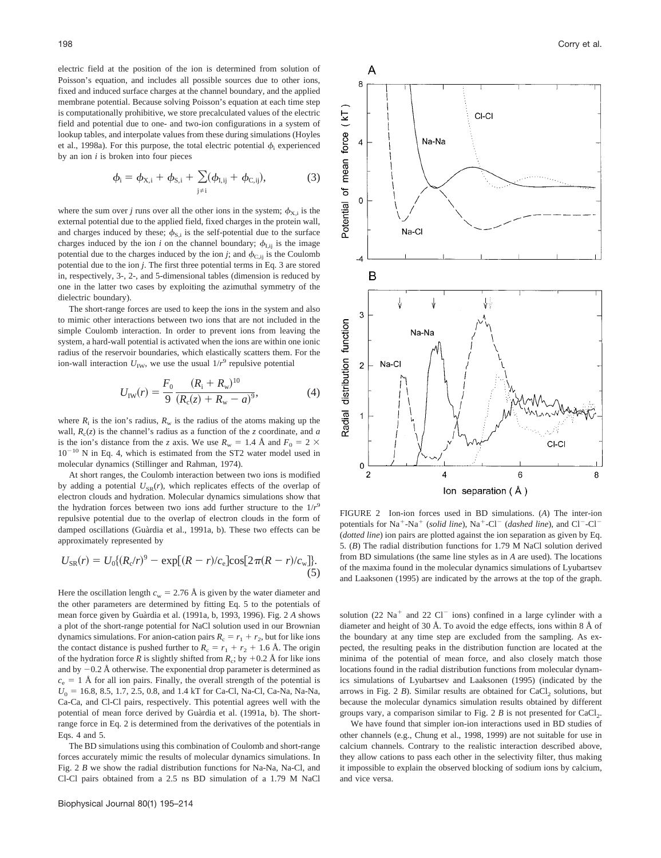electric field at the position of the ion is determined from solution of Poisson's equation, and includes all possible sources due to other ions, fixed and induced surface charges at the channel boundary, and the applied membrane potential. Because solving Poisson's equation at each time step is computationally prohibitive, we store precalculated values of the electric field and potential due to one- and two-ion configurations in a system of lookup tables, and interpolate values from these during simulations (Hoyles et al., 1998a). For this purpose, the total electric potential  $\phi_i$  experienced by an ion *i* is broken into four pieces

$$
\phi_{i} = \phi_{X,i} + \phi_{S,i} + \sum_{j \neq i} (\phi_{I,ij} + \phi_{C,ij}),
$$
 (3)

where the sum over *j* runs over all the other ions in the system;  $\phi_{X,i}$  is the external potential due to the applied field, fixed charges in the protein wall, and charges induced by these;  $\phi_{S,i}$  is the self-potential due to the surface charges induced by the ion *i* on the channel boundary;  $\phi_{I,ij}$  is the image potential due to the charges induced by the ion *j*; and  $\phi_{C,ij}$  is the Coulomb potential due to the ion *j*. The first three potential terms in Eq. 3 are stored in, respectively, 3-, 2-, and 5-dimensional tables (dimension is reduced by one in the latter two cases by exploiting the azimuthal symmetry of the dielectric boundary).

The short-range forces are used to keep the ions in the system and also to mimic other interactions between two ions that are not included in the simple Coulomb interaction. In order to prevent ions from leaving the system, a hard-wall potential is activated when the ions are within one ionic radius of the reservoir boundaries, which elastically scatters them. For the ion-wall interaction  $U_{\text{IW}}$ , we use the usual  $1/r^9$  repulsive potential

$$
U_{\text{IW}}(r) = \frac{F_0}{9} \frac{(R_i + R_w)^{10}}{(R_c(z) + R_w - a)^9},\tag{4}
$$

where  $R_i$  is the ion's radius,  $R_w$  is the radius of the atoms making up the wall,  $R_c(z)$  is the channel's radius as a function of the *z* coordinate, and *a* is the ion's distance from the *z* axis. We use  $R_w = 1.4 \text{ Å}$  and  $F_0 = 2 \times$  $10^{-10}$  N in Eq. 4, which is estimated from the ST2 water model used in molecular dynamics (Stillinger and Rahman, 1974).

At short ranges, the Coulomb interaction between two ions is modified by adding a potential  $U_{SR}(r)$ , which replicates effects of the overlap of electron clouds and hydration. Molecular dynamics simulations show that the hydration forces between two ions add further structure to the  $1/r^9$ repulsive potential due to the overlap of electron clouds in the form of damped oscillations (Guàrdia et al., 1991a, b). These two effects can be approximately represented by

$$
U_{\rm SR}(r) = U_0 \{ (R_c/r)^9 - \exp[(R-r)/c_e] \cos[2\pi (R-r)/c_w] \}.
$$
\n(5)

Here the oscillation length  $c_w = 2.76$  Å is given by the water diameter and the other parameters are determined by fitting Eq. 5 to the potentials of mean force given by Guàrdia et al. (1991a, b, 1993, 1996). Fig. 2 *A* shows a plot of the short-range potential for NaCl solution used in our Brownian dynamics simulations. For anion-cation pairs  $R_c = r_1 + r_2$ , but for like ions the contact distance is pushed further to  $R_c = r_1 + r_2 + 1.6$  Å. The origin of the hydration force *R* is slightly shifted from  $R_c$ ; by  $+0.2$  Å for like ions and by  $-0.2$  Å otherwise. The exponential drop parameter is determined as  $c_e = 1$  Å for all ion pairs. Finally, the overall strength of the potential is  $U_0 = 16.8, 8.5, 1.7, 2.5, 0.8,$  and 1.4 kT for Ca-Cl, Na-Cl, Ca-Na, Na-Na, Ca-Ca, and Cl-Cl pairs, respectively. This potential agrees well with the potential of mean force derived by Guàrdia et al. (1991a, b). The shortrange force in Eq. 2 is determined from the derivatives of the potentials in Eqs. 4 and 5.

The BD simulations using this combination of Coulomb and short-range forces accurately mimic the results of molecular dynamics simulations. In Fig. 2 *B* we show the radial distribution functions for Na-Na, Na-Cl, and Cl-Cl pairs obtained from a 2.5 ns BD simulation of a 1.79 M NaCl



FIGURE 2 Ion-ion forces used in BD simulations. (*A*) The inter-ion potentials for Na<sup>+</sup>-Na<sup>+</sup> (*solid line*), Na<sup>+</sup>-Cl<sup>-</sup> (*dashed line*), and Cl<sup>-</sup>-Cl<sup>-</sup> (*dotted line*) ion pairs are plotted against the ion separation as given by Eq. 5. (*B*) The radial distribution functions for 1.79 M NaCl solution derived from BD simulations (the same line styles as in *A* are used). The locations of the maxima found in the molecular dynamics simulations of Lyubartsev and Laaksonen (1995) are indicated by the arrows at the top of the graph.

solution (22  $Na<sup>+</sup>$  and 22  $Cl<sup>-</sup>$  ions) confined in a large cylinder with a diameter and height of 30 Å. To avoid the edge effects, ions within 8 Å of the boundary at any time step are excluded from the sampling. As expected, the resulting peaks in the distribution function are located at the minima of the potential of mean force, and also closely match those locations found in the radial distribution functions from molecular dynamics simulations of Lyubartsev and Laaksonen (1995) (indicated by the arrows in Fig. 2  $B$ ). Similar results are obtained for CaCl<sub>2</sub> solutions, but because the molecular dynamics simulation results obtained by different groups vary, a comparison similar to Fig.  $2 B$  is not presented for CaCl<sub>2</sub>.

We have found that simpler ion-ion interactions used in BD studies of other channels (e.g., Chung et al., 1998, 1999) are not suitable for use in calcium channels. Contrary to the realistic interaction described above, they allow cations to pass each other in the selectivity filter, thus making it impossible to explain the observed blocking of sodium ions by calcium, and vice versa.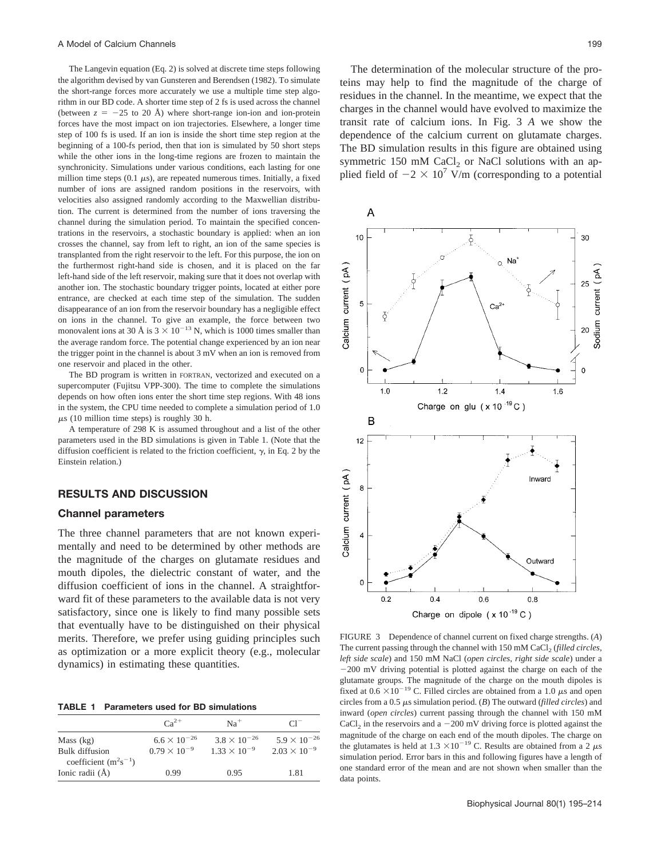The Langevin equation (Eq. 2) is solved at discrete time steps following the algorithm devised by van Gunsteren and Berendsen (1982). To simulate the short-range forces more accurately we use a multiple time step algorithm in our BD code. A shorter time step of 2 fs is used across the channel (between  $z = -25$  to 20 Å) where short-range ion-ion and ion-protein forces have the most impact on ion trajectories. Elsewhere, a longer time step of 100 fs is used. If an ion is inside the short time step region at the beginning of a 100-fs period, then that ion is simulated by 50 short steps while the other ions in the long-time regions are frozen to maintain the synchronicity. Simulations under various conditions, each lasting for one million time steps (0.1  $\mu$ s), are repeated numerous times. Initially, a fixed number of ions are assigned random positions in the reservoirs, with velocities also assigned randomly according to the Maxwellian distribution. The current is determined from the number of ions traversing the channel during the simulation period. To maintain the specified concentrations in the reservoirs, a stochastic boundary is applied: when an ion crosses the channel, say from left to right, an ion of the same species is transplanted from the right reservoir to the left. For this purpose, the ion on the furthermost right-hand side is chosen, and it is placed on the far left-hand side of the left reservoir, making sure that it does not overlap with another ion. The stochastic boundary trigger points, located at either pore entrance, are checked at each time step of the simulation. The sudden disappearance of an ion from the reservoir boundary has a negligible effect on ions in the channel. To give an example, the force between two monovalent ions at 30 Å is  $3 \times 10^{-13}$  N, which is 1000 times smaller than the average random force. The potential change experienced by an ion near the trigger point in the channel is about 3 mV when an ion is removed from one reservoir and placed in the other.

The BD program is written in FORTRAN, vectorized and executed on a supercomputer (Fujitsu VPP-300). The time to complete the simulations depends on how often ions enter the short time step regions. With 48 ions in the system, the CPU time needed to complete a simulation period of 1.0  $\mu$ s (10 million time steps) is roughly 30 h.

A temperature of 298 K is assumed throughout and a list of the other parameters used in the BD simulations is given in Table 1. (Note that the diffusion coefficient is related to the friction coefficient,  $\gamma$ , in Eq. 2 by the Einstein relation.)

## **RESULTS AND DISCUSSION**

## **Channel parameters**

The three channel parameters that are not known experimentally and need to be determined by other methods are the magnitude of the charges on glutamate residues and mouth dipoles, the dielectric constant of water, and the diffusion coefficient of ions in the channel. A straightforward fit of these parameters to the available data is not very satisfactory, since one is likely to find many possible sets that eventually have to be distinguished on their physical merits. Therefore, we prefer using guiding principles such as optimization or a more explicit theory (e.g., molecular dynamics) in estimating these quantities.

**TABLE 1 Parameters used for BD simulations**

|                                                    | $Ca^{2+}$             | $Na+$                 | $Cl^{-}$              |
|----------------------------------------------------|-----------------------|-----------------------|-----------------------|
| Mass $(kg)$                                        | $6.6 \times 10^{-26}$ | $3.8 \times 10^{-26}$ | $5.9 \times 10^{-26}$ |
| <b>Bulk</b> diffusion<br>coefficient $(m^2s^{-1})$ | $0.79 \times 10^{-9}$ | $1.33 \times 10^{-9}$ | $2.03 \times 10^{-9}$ |
| Ionic radii (Å)                                    | 0.99                  | 0.95                  | 1.81                  |

The determination of the molecular structure of the proteins may help to find the magnitude of the charge of residues in the channel. In the meantime, we expect that the charges in the channel would have evolved to maximize the transit rate of calcium ions. In Fig. 3 *A* we show the dependence of the calcium current on glutamate charges. The BD simulation results in this figure are obtained using symmetric 150 mM CaCl<sub>2</sub> or NaCl solutions with an applied field of  $-2 \times 10^7$  V/m (corresponding to a potential



FIGURE 3 Dependence of channel current on fixed charge strengths. (*A*) The current passing through the channel with 150 mM CaCl<sub>2</sub> (filled circles, *left side scale*) and 150 mM NaCl (*open circles*, *right side scale*) under a  $-200$  mV driving potential is plotted against the charge on each of the glutamate groups. The magnitude of the charge on the mouth dipoles is fixed at  $0.6 \times 10^{-19}$  C. Filled circles are obtained from a 1.0  $\mu$ s and open circles from a  $0.5 \mu s$  simulation period. (*B*) The outward (*filled circles*) and inward (*open circles*) current passing through the channel with 150 mM CaCl<sub>2</sub> in the reservoirs and a  $-200$  mV driving force is plotted against the magnitude of the charge on each end of the mouth dipoles. The charge on the glutamates is held at 1.3  $\times$ 10<sup>-19</sup> C. Results are obtained from a 2  $\mu$ s simulation period. Error bars in this and following figures have a length of one standard error of the mean and are not shown when smaller than the data points.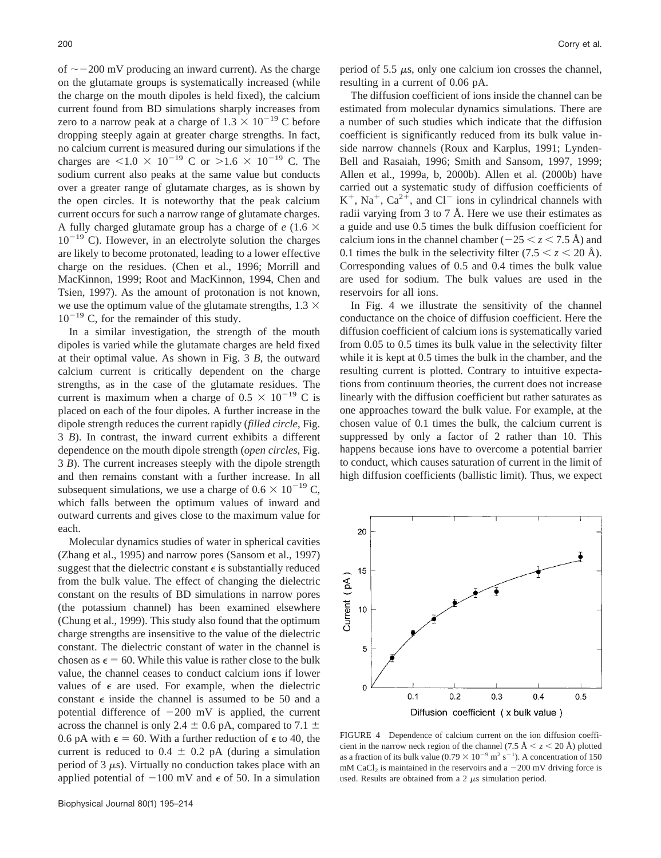of  $\sim$  -200 mV producing an inward current). As the charge on the glutamate groups is systematically increased (while the charge on the mouth dipoles is held fixed), the calcium current found from BD simulations sharply increases from zero to a narrow peak at a charge of  $1.3 \times 10^{-19}$  C before dropping steeply again at greater charge strengths. In fact, no calcium current is measured during our simulations if the charges are  $\leq 1.0 \times 10^{-19}$  C or  $>1.6 \times 10^{-19}$  C. The sodium current also peaks at the same value but conducts over a greater range of glutamate charges, as is shown by the open circles. It is noteworthy that the peak calcium current occurs for such a narrow range of glutamate charges. A fully charged glutamate group has a charge of  $e$  (1.6  $\times$  $10^{-19}$  C). However, in an electrolyte solution the charges are likely to become protonated, leading to a lower effective charge on the residues. (Chen et al., 1996; Morrill and MacKinnon, 1999; Root and MacKinnon, 1994, Chen and Tsien, 1997). As the amount of protonation is not known, we use the optimum value of the glutamate strengths,  $1.3 \times$  $10^{-19}$  C, for the remainder of this study.

In a similar investigation, the strength of the mouth dipoles is varied while the glutamate charges are held fixed at their optimal value. As shown in Fig. 3 *B*, the outward calcium current is critically dependent on the charge strengths, as in the case of the glutamate residues. The current is maximum when a charge of  $0.5 \times 10^{-19}$  C is placed on each of the four dipoles. A further increase in the dipole strength reduces the current rapidly (*filled circle*, Fig. 3 *B*). In contrast, the inward current exhibits a different dependence on the mouth dipole strength (*open circles*, Fig. 3 *B*). The current increases steeply with the dipole strength and then remains constant with a further increase. In all subsequent simulations, we use a charge of  $0.6 \times 10^{-19}$  C, which falls between the optimum values of inward and outward currents and gives close to the maximum value for each.

Molecular dynamics studies of water in spherical cavities (Zhang et al., 1995) and narrow pores (Sansom et al., 1997) suggest that the dielectric constant  $\epsilon$  is substantially reduced from the bulk value. The effect of changing the dielectric constant on the results of BD simulations in narrow pores (the potassium channel) has been examined elsewhere (Chung et al., 1999). This study also found that the optimum charge strengths are insensitive to the value of the dielectric constant. The dielectric constant of water in the channel is chosen as  $\epsilon = 60$ . While this value is rather close to the bulk value, the channel ceases to conduct calcium ions if lower values of  $\epsilon$  are used. For example, when the dielectric constant  $\epsilon$  inside the channel is assumed to be 50 and a potential difference of  $-200$  mV is applied, the current across the channel is only 2.4  $\pm$  0.6 pA, compared to 7.1  $\pm$ 0.6 pA with  $\epsilon$  = 60. With a further reduction of  $\epsilon$  to 40, the current is reduced to  $0.4 \pm 0.2$  pA (during a simulation period of 3  $\mu$ s). Virtually no conduction takes place with an applied potential of  $-100$  mV and  $\epsilon$  of 50. In a simulation

period of 5.5  $\mu$ s, only one calcium ion crosses the channel, resulting in a current of 0.06 pA.

The diffusion coefficient of ions inside the channel can be estimated from molecular dynamics simulations. There are a number of such studies which indicate that the diffusion coefficient is significantly reduced from its bulk value inside narrow channels (Roux and Karplus, 1991; Lynden-Bell and Rasaiah, 1996; Smith and Sansom, 1997, 1999; Allen et al., 1999a, b, 2000b). Allen et al. (2000b) have carried out a systematic study of diffusion coefficients of  $K^+$ , Na<sup>+</sup>, Ca<sup>2+</sup>, and Cl<sup>-</sup> ions in cylindrical channels with radii varying from 3 to 7 Å. Here we use their estimates as a guide and use 0.5 times the bulk diffusion coefficient for calcium ions in the channel chamber ( $-25 < z < 7.5$  Å) and 0.1 times the bulk in the selectivity filter  $(7.5 < z < 20 \text{ Å})$ . Corresponding values of 0.5 and 0.4 times the bulk value are used for sodium. The bulk values are used in the reservoirs for all ions.

In Fig. 4 we illustrate the sensitivity of the channel conductance on the choice of diffusion coefficient. Here the diffusion coefficient of calcium ions is systematically varied from 0.05 to 0.5 times its bulk value in the selectivity filter while it is kept at 0.5 times the bulk in the chamber, and the resulting current is plotted. Contrary to intuitive expectations from continuum theories, the current does not increase linearly with the diffusion coefficient but rather saturates as one approaches toward the bulk value. For example, at the chosen value of 0.1 times the bulk, the calcium current is suppressed by only a factor of 2 rather than 10. This happens because ions have to overcome a potential barrier to conduct, which causes saturation of current in the limit of high diffusion coefficients (ballistic limit). Thus, we expect



FIGURE 4 Dependence of calcium current on the ion diffusion coefficient in the narrow neck region of the channel (7.5  $\AA < z < 20$ ) plotted as a fraction of its bulk value ( $0.79 \times 10^{-9}$  m<sup>2</sup> s<sup>-1</sup>). A concentration of 150 mM CaCl<sub>2</sub> is maintained in the reservoirs and a  $-200$  mV driving force is used. Results are obtained from a  $2 \mu s$  simulation period.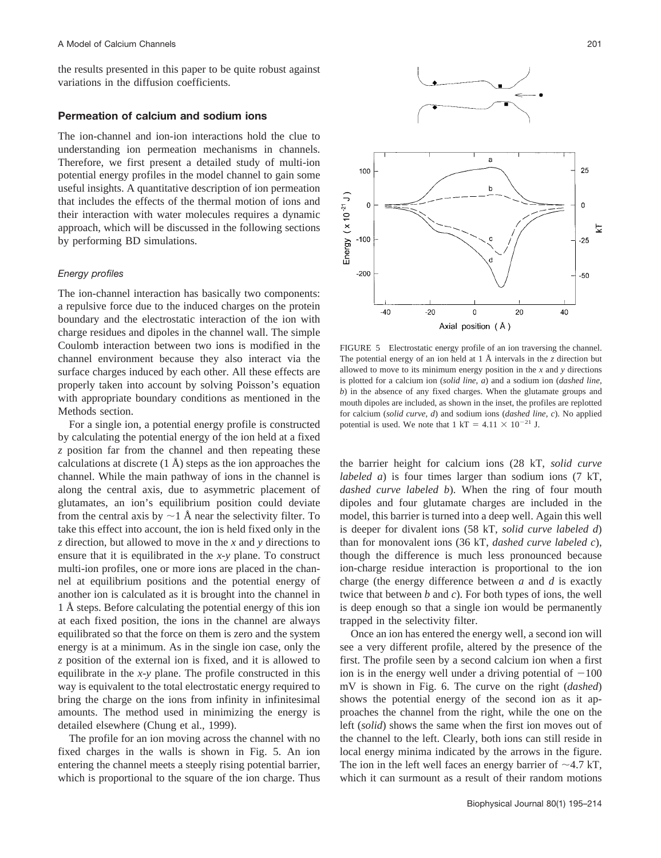the results presented in this paper to be quite robust against variations in the diffusion coefficients.

## **Permeation of calcium and sodium ions**

The ion-channel and ion-ion interactions hold the clue to understanding ion permeation mechanisms in channels. Therefore, we first present a detailed study of multi-ion potential energy profiles in the model channel to gain some useful insights. A quantitative description of ion permeation that includes the effects of the thermal motion of ions and their interaction with water molecules requires a dynamic approach, which will be discussed in the following sections by performing BD simulations.

# *Energy profiles*

The ion-channel interaction has basically two components: a repulsive force due to the induced charges on the protein boundary and the electrostatic interaction of the ion with charge residues and dipoles in the channel wall. The simple Coulomb interaction between two ions is modified in the channel environment because they also interact via the surface charges induced by each other. All these effects are properly taken into account by solving Poisson's equation with appropriate boundary conditions as mentioned in the Methods section.

For a single ion, a potential energy profile is constructed by calculating the potential energy of the ion held at a fixed *z* position far from the channel and then repeating these calculations at discrete  $(1 \text{ Å})$  steps as the ion approaches the channel. While the main pathway of ions in the channel is along the central axis, due to asymmetric placement of glutamates, an ion's equilibrium position could deviate from the central axis by  $\sim$ 1 Å near the selectivity filter. To take this effect into account, the ion is held fixed only in the *z* direction, but allowed to move in the *x* and *y* directions to ensure that it is equilibrated in the *x-y* plane. To construct multi-ion profiles, one or more ions are placed in the channel at equilibrium positions and the potential energy of another ion is calculated as it is brought into the channel in 1 Å steps. Before calculating the potential energy of this ion at each fixed position, the ions in the channel are always equilibrated so that the force on them is zero and the system energy is at a minimum. As in the single ion case, only the *z* position of the external ion is fixed, and it is allowed to equilibrate in the *x-y* plane. The profile constructed in this way is equivalent to the total electrostatic energy required to bring the charge on the ions from infinity in infinitesimal amounts. The method used in minimizing the energy is detailed elsewhere (Chung et al., 1999).

The profile for an ion moving across the channel with no fixed charges in the walls is shown in Fig. 5. An ion entering the channel meets a steeply rising potential barrier, which is proportional to the square of the ion charge. Thus



FIGURE 5 Electrostatic energy profile of an ion traversing the channel. The potential energy of an ion held at 1 Å intervals in the *z* direction but allowed to move to its minimum energy position in the *x* and *y* directions is plotted for a calcium ion (*solid line*, *a*) and a sodium ion (*dashed line*, *b*) in the absence of any fixed charges. When the glutamate groups and mouth dipoles are included, as shown in the inset, the profiles are replotted for calcium (*solid curve*, *d*) and sodium ions (*dashed line*, *c*). No applied potential is used. We note that  $1 \text{ kT} = 4.11 \times 10^{-21} \text{ J}$ .

the barrier height for calcium ions (28 kT, *solid curve labeled a*) is four times larger than sodium ions (7 kT, *dashed curve labeled b*). When the ring of four mouth dipoles and four glutamate charges are included in the model, this barrier is turned into a deep well. Again this well is deeper for divalent ions (58 kT, *solid curve labeled d*) than for monovalent ions (36 kT, *dashed curve labeled c*), though the difference is much less pronounced because ion-charge residue interaction is proportional to the ion charge (the energy difference between *a* and *d* is exactly twice that between *b* and *c*). For both types of ions, the well is deep enough so that a single ion would be permanently trapped in the selectivity filter.

Once an ion has entered the energy well, a second ion will see a very different profile, altered by the presence of the first. The profile seen by a second calcium ion when a first ion is in the energy well under a driving potential of  $-100$ mV is shown in Fig. 6. The curve on the right (*dashed*) shows the potential energy of the second ion as it approaches the channel from the right, while the one on the left (*solid*) shows the same when the first ion moves out of the channel to the left. Clearly, both ions can still reside in local energy minima indicated by the arrows in the figure. The ion in the left well faces an energy barrier of  $\sim$ 4.7 kT, which it can surmount as a result of their random motions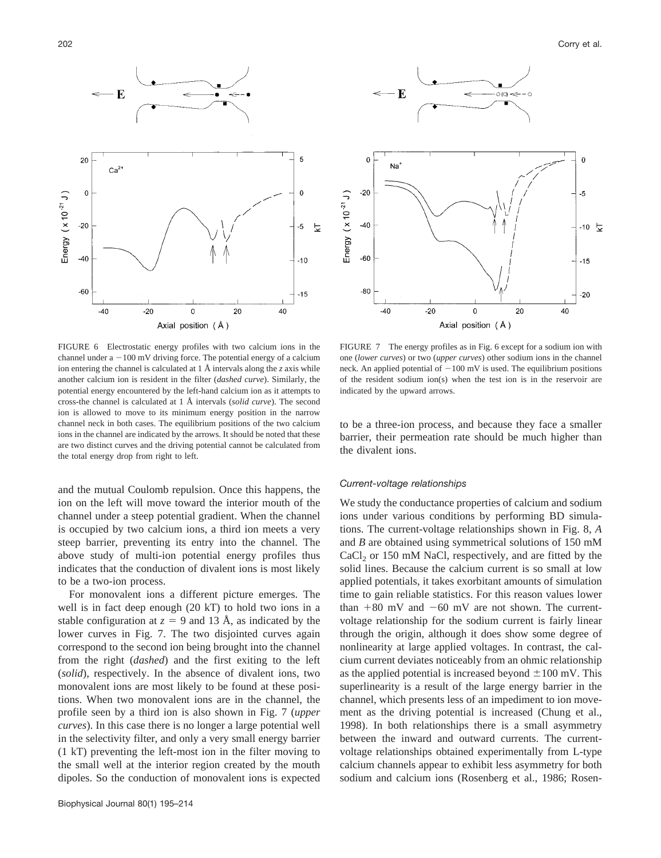

FIGURE 6 Electrostatic energy profiles with two calcium ions in the channel under  $a - 100$  mV driving force. The potential energy of a calcium ion entering the channel is calculated at 1 Å intervals along the *z* axis while another calcium ion is resident in the filter (*dashed curve*). Similarly, the potential energy encountered by the left-hand calcium ion as it attempts to cross-the channel is calculated at 1 Å intervals (*solid curve*). The second ion is allowed to move to its minimum energy position in the narrow channel neck in both cases. The equilibrium positions of the two calcium ions in the channel are indicated by the arrows. It should be noted that these are two distinct curves and the driving potential cannot be calculated from the total energy drop from right to left.

and the mutual Coulomb repulsion. Once this happens, the ion on the left will move toward the interior mouth of the channel under a steep potential gradient. When the channel is occupied by two calcium ions, a third ion meets a very steep barrier, preventing its entry into the channel. The above study of multi-ion potential energy profiles thus indicates that the conduction of divalent ions is most likely to be a two-ion process.

For monovalent ions a different picture emerges. The well is in fact deep enough (20 kT) to hold two ions in a stable configuration at  $z = 9$  and 13 Å, as indicated by the lower curves in Fig. 7. The two disjointed curves again correspond to the second ion being brought into the channel from the right (*dashed*) and the first exiting to the left (*solid*), respectively. In the absence of divalent ions, two monovalent ions are most likely to be found at these positions. When two monovalent ions are in the channel, the profile seen by a third ion is also shown in Fig. 7 (*upper curves*). In this case there is no longer a large potential well in the selectivity filter, and only a very small energy barrier (1 kT) preventing the left-most ion in the filter moving to the small well at the interior region created by the mouth dipoles. So the conduction of monovalent ions is expected



FIGURE 7 The energy profiles as in Fig. 6 except for a sodium ion with one (*lower curves*) or two (*upper curves*) other sodium ions in the channel neck. An applied potential of  $-100$  mV is used. The equilibrium positions of the resident sodium ion(s) when the test ion is in the reservoir are indicated by the upward arrows.

to be a three-ion process, and because they face a smaller barrier, their permeation rate should be much higher than the divalent ions.

#### *Current-voltage relationships*

We study the conductance properties of calcium and sodium ions under various conditions by performing BD simulations. The current-voltage relationships shown in Fig. 8, *A* and *B* are obtained using symmetrical solutions of 150 mM  $CaCl<sub>2</sub>$  or 150 mM NaCl, respectively, and are fitted by the solid lines. Because the calcium current is so small at low applied potentials, it takes exorbitant amounts of simulation time to gain reliable statistics. For this reason values lower than  $+80$  mV and  $-60$  mV are not shown. The currentvoltage relationship for the sodium current is fairly linear through the origin, although it does show some degree of nonlinearity at large applied voltages. In contrast, the calcium current deviates noticeably from an ohmic relationship as the applied potential is increased beyond  $\pm 100$  mV. This superlinearity is a result of the large energy barrier in the channel, which presents less of an impediment to ion movement as the driving potential is increased (Chung et al., 1998). In both relationships there is a small asymmetry between the inward and outward currents. The currentvoltage relationships obtained experimentally from L-type calcium channels appear to exhibit less asymmetry for both sodium and calcium ions (Rosenberg et al., 1986; Rosen-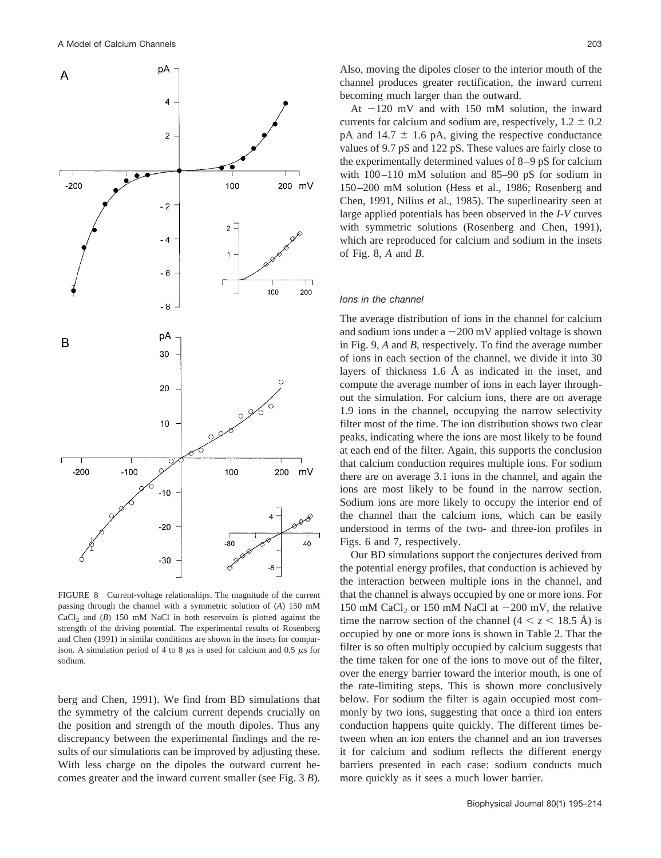

FIGURE 8 Current-voltage relationships. The magnitude of the current passing through the channel with a symmetric solution of (*A*) 150 mM  $CaCl<sub>2</sub>$  and ( $B$ ) 150 mM NaCl in both reservoirs is plotted against the strength of the driving potential. The experimental results of Rosenberg and Chen (1991) in similar conditions are shown in the insets for comparison. A simulation period of 4 to 8  $\mu$ s is used for calcium and 0.5  $\mu$ s for sodium.

berg and Chen, 1991). We find from BD simulations that the symmetry of the calcium current depends crucially on the position and strength of the mouth dipoles. Thus any discrepancy between the experimental findings and the results of our simulations can be improved by adjusting these. With less charge on the dipoles the outward current becomes greater and the inward current smaller (see Fig. 3 *B*).

Also, moving the dipoles closer to the interior mouth of the channel produces greater rectification, the inward current becoming much larger than the outward.

At  $-120$  mV and with 150 mM solution, the inward currents for calcium and sodium are, respectively,  $1.2 \pm 0.2$ pA and  $14.7 \pm 1.6$  pA, giving the respective conductance values of 9.7 pS and 122 pS. These values are fairly close to the experimentally determined values of 8–9 pS for calcium with 100–110 mM solution and 85–90 pS for sodium in 150–200 mM solution (Hess et al., 1986; Rosenberg and Chen, 1991, Nilius et al., 1985). The superlinearity seen at large applied potentials has been observed in the *I*-*V* curves with symmetric solutions (Rosenberg and Chen, 1991), which are reproduced for calcium and sodium in the insets of Fig. 8, *A* and *B*.

#### *Ions in the channel*

The average distribution of ions in the channel for calcium and sodium ions under a  $-200$  mV applied voltage is shown in Fig. 9, *A* and *B*, respectively. To find the average number of ions in each section of the channel, we divide it into 30 layers of thickness 1.6 Å as indicated in the inset, and compute the average number of ions in each layer throughout the simulation. For calcium ions, there are on average 1.9 ions in the channel, occupying the narrow selectivity filter most of the time. The ion distribution shows two clear peaks, indicating where the ions are most likely to be found at each end of the filter. Again, this supports the conclusion that calcium conduction requires multiple ions. For sodium there are on average 3.1 ions in the channel, and again the ions are most likely to be found in the narrow section. Sodium ions are more likely to occupy the interior end of the channel than the calcium ions, which can be easily understood in terms of the two- and three-ion profiles in Figs. 6 and 7, respectively.

Our BD simulations support the conjectures derived from the potential energy profiles, that conduction is achieved by the interaction between multiple ions in the channel, and that the channel is always occupied by one or more ions. For 150 mM CaCl<sub>2</sub> or 150 mM NaCl at  $-200$  mV, the relative time the narrow section of the channel  $(4 < z < 18.5 \text{ Å})$  is occupied by one or more ions is shown in Table 2. That the filter is so often multiply occupied by calcium suggests that the time taken for one of the ions to move out of the filter, over the energy barrier toward the interior mouth, is one of the rate-limiting steps. This is shown more conclusively below. For sodium the filter is again occupied most commonly by two ions, suggesting that once a third ion enters conduction happens quite quickly. The different times between when an ion enters the channel and an ion traverses it for calcium and sodium reflects the different energy barriers presented in each case: sodium conducts much more quickly as it sees a much lower barrier.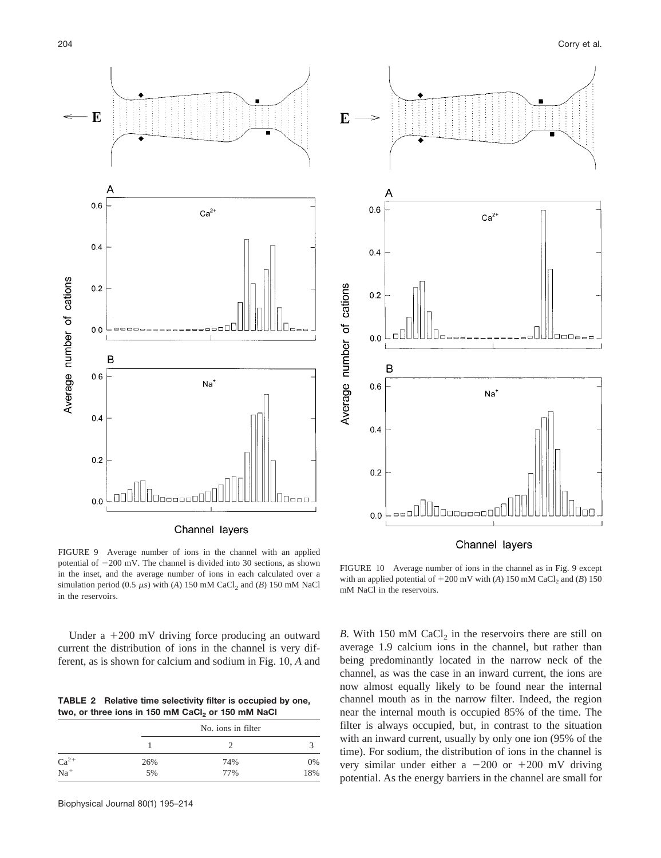

FIGURE 9 Average number of ions in the channel with an applied potential of  $-200$  mV. The channel is divided into 30 sections, as shown in the inset, and the average number of ions in each calculated over a simulation period (0.5  $\mu$ s) with (*A*) 150 mM CaCl<sub>2</sub> and (*B*) 150 mM NaCl in the reservoirs.

Under a  $+200$  mV driving force producing an outward current the distribution of ions in the channel is very different, as is shown for calcium and sodium in Fig. 10, *A* and

**TABLE 2 Relative time selectivity filter is occupied by one,** two, or three ions in 150 mM CaCl<sub>2</sub> or 150 mM NaCl

|                                  | No. ions in filter |     |     |  |
|----------------------------------|--------------------|-----|-----|--|
|                                  |                    |     |     |  |
|                                  | 26%                | 74% | 0%  |  |
| $\text{Ca}^{2+}$ Na <sup>+</sup> | 5%                 | 77% | 18% |  |



Channel layers

FIGURE 10 Average number of ions in the channel as in Fig. 9 except with an applied potential of  $+200$  mV with (*A*) 150 mM CaCl<sub>2</sub> and (*B*) 150 mM NaCl in the reservoirs.

*B*. With 150 mM CaCl<sub>2</sub> in the reservoirs there are still on average 1.9 calcium ions in the channel, but rather than being predominantly located in the narrow neck of the channel, as was the case in an inward current, the ions are now almost equally likely to be found near the internal channel mouth as in the narrow filter. Indeed, the region near the internal mouth is occupied 85% of the time. The filter is always occupied, but, in contrast to the situation with an inward current, usually by only one ion (95% of the time). For sodium, the distribution of ions in the channel is very similar under either a  $-200$  or  $+200$  mV driving potential. As the energy barriers in the channel are small for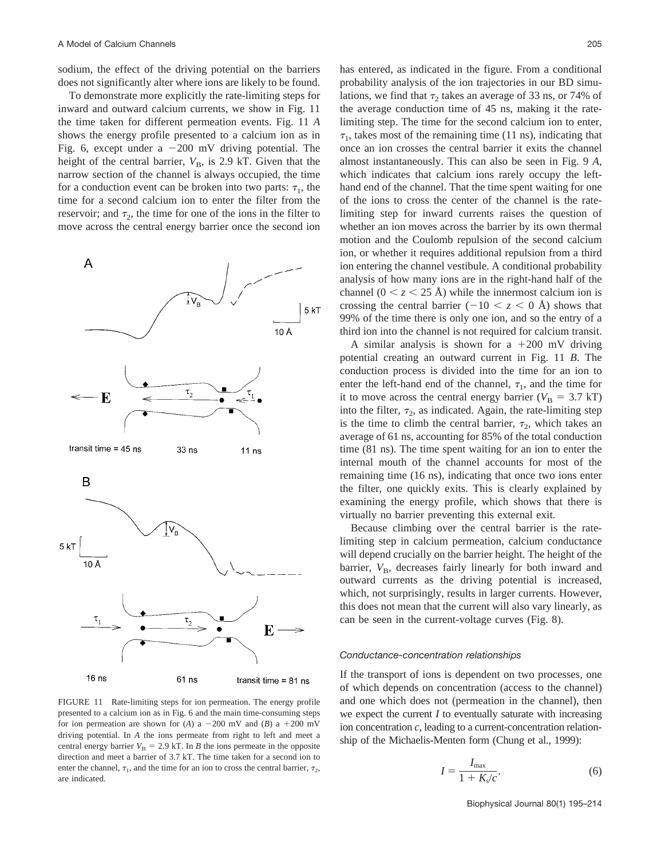sodium, the effect of the driving potential on the barriers does not significantly alter where ions are likely to be found.

To demonstrate more explicitly the rate-limiting steps for inward and outward calcium currents, we show in Fig. 11 the time taken for different permeation events. Fig. 11 *A* shows the energy profile presented to a calcium ion as in Fig. 6, except under a  $-200$  mV driving potential. The height of the central barrier,  $V_B$ , is 2.9 kT. Given that the narrow section of the channel is always occupied, the time for a conduction event can be broken into two parts:  $\tau_1$ , the time for a second calcium ion to enter the filter from the reservoir; and  $\tau_2$ , the time for one of the ions in the filter to move across the central energy barrier once the second ion



FIGURE 11 Rate-limiting steps for ion permeation. The energy profile presented to a calcium ion as in Fig. 6 and the main time-consuming steps for ion permeation are shown for (*A*) a  $-200$  mV and (*B*) a  $+200$  mV driving potential. In *A* the ions permeate from right to left and meet a central energy barrier  $V_B = 2.9$  kT. In *B* the ions permeate in the opposite direction and meet a barrier of 3.7 kT. The time taken for a second ion to enter the channel,  $\tau_1$ , and the time for an ion to cross the central barrier,  $\tau_2$ , are indicated.

has entered, as indicated in the figure. From a conditional probability analysis of the ion trajectories in our BD simulations, we find that  $\tau_2$  takes an average of 33 ns, or 74% of the average conduction time of 45 ns, making it the ratelimiting step. The time for the second calcium ion to enter,  $\tau_1$ , takes most of the remaining time (11 ns), indicating that once an ion crosses the central barrier it exits the channel almost instantaneously. This can also be seen in Fig. 9 *A*, which indicates that calcium ions rarely occupy the lefthand end of the channel. That the time spent waiting for one of the ions to cross the center of the channel is the ratelimiting step for inward currents raises the question of whether an ion moves across the barrier by its own thermal motion and the Coulomb repulsion of the second calcium ion, or whether it requires additional repulsion from a third ion entering the channel vestibule. A conditional probability analysis of how many ions are in the right-hand half of the channel  $(0 < z < 25 \text{ Å})$  while the innermost calcium ion is crossing the central barrier  $(-10 \le z \le 0 \text{ Å})$  shows that 99% of the time there is only one ion, and so the entry of a third ion into the channel is not required for calcium transit.

A similar analysis is shown for a  $+200$  mV driving potential creating an outward current in Fig. 11 *B*. The conduction process is divided into the time for an ion to enter the left-hand end of the channel,  $\tau_1$ , and the time for it to move across the central energy barrier ( $V_B = 3.7$  kT) into the filter,  $\tau_2$ , as indicated. Again, the rate-limiting step is the time to climb the central barrier,  $\tau_2$ , which takes an average of 61 ns, accounting for 85% of the total conduction time (81 ns). The time spent waiting for an ion to enter the internal mouth of the channel accounts for most of the remaining time (16 ns), indicating that once two ions enter the filter, one quickly exits. This is clearly explained by examining the energy profile, which shows that there is virtually no barrier preventing this external exit.

Because climbing over the central barrier is the ratelimiting step in calcium permeation, calcium conductance will depend crucially on the barrier height. The height of the barrier,  $V_{\rm B}$ , decreases fairly linearly for both inward and outward currents as the driving potential is increased, which, not surprisingly, results in larger currents. However, this does not mean that the current will also vary linearly, as can be seen in the current-voltage curves (Fig. 8).

#### *Conductance-concentration relationships*

If the transport of ions is dependent on two processes, one of which depends on concentration (access to the channel) and one which does not (permeation in the channel), then we expect the current *I* to eventually saturate with increasing ion concentration *c*, leading to a current-concentration relationship of the Michaelis-Menten form (Chung et al., 1999):

$$
I = \frac{I_{\text{max}}}{1 + K_s/c}.\tag{6}
$$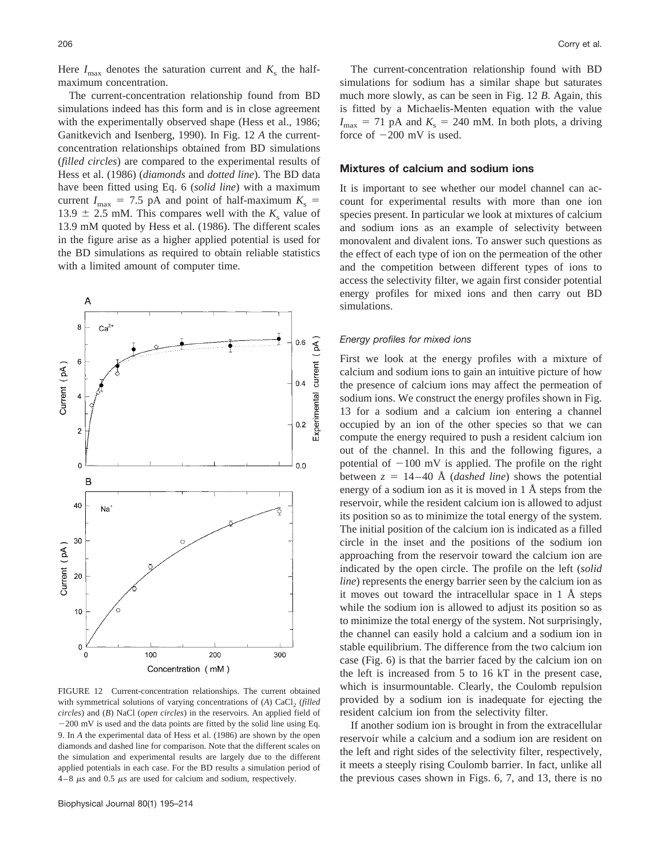Here  $I_{\text{max}}$  denotes the saturation current and  $K_s$  the halfmaximum concentration.

The current-concentration relationship found from BD simulations indeed has this form and is in close agreement with the experimentally observed shape (Hess et al., 1986; Ganitkevich and Isenberg, 1990). In Fig. 12 *A* the currentconcentration relationships obtained from BD simulations (*filled circles*) are compared to the experimental results of Hess et al. (1986) (*diamonds* and *dotted line*). The BD data have been fitted using Eq. 6 (*solid line*) with a maximum current  $I_{\text{max}} = 7.5$  pA and point of half-maximum  $K_s =$ 13.9  $\pm$  2.5 mM. This compares well with the  $K_s$  value of 13.9 mM quoted by Hess et al. (1986). The different scales in the figure arise as a higher applied potential is used for the BD simulations as required to obtain reliable statistics with a limited amount of computer time.



FIGURE 12 Current-concentration relationships. The current obtained with symmetrical solutions of varying concentrations of (A) CaCl<sub>2</sub> (filled *circles*) and (*B*) NaCl (*open circles*) in the reservoirs. An applied field of  $-200$  mV is used and the data points are fitted by the solid line using Eq. 9. In *A* the experimental data of Hess et al. (1986) are shown by the open diamonds and dashed line for comparison. Note that the different scales on the simulation and experimental results are largely due to the different applied potentials in each case. For the BD results a simulation period of  $4-8$   $\mu$ s and 0.5  $\mu$ s are used for calcium and sodium, respectively.

The current-concentration relationship found with BD simulations for sodium has a similar shape but saturates much more slowly, as can be seen in Fig. 12 *B*. Again, this is fitted by a Michaelis-Menten equation with the value  $I_{\text{max}} = 71 \text{ pA}$  and  $K_s = 240 \text{ mM}$ . In both plots, a driving force of  $-200$  mV is used.

## **Mixtures of calcium and sodium ions**

It is important to see whether our model channel can account for experimental results with more than one ion species present. In particular we look at mixtures of calcium and sodium ions as an example of selectivity between monovalent and divalent ions. To answer such questions as the effect of each type of ion on the permeation of the other and the competition between different types of ions to access the selectivity filter, we again first consider potential energy profiles for mixed ions and then carry out BD simulations.

## *Energy profiles for mixed ions*

First we look at the energy profiles with a mixture of calcium and sodium ions to gain an intuitive picture of how the presence of calcium ions may affect the permeation of sodium ions. We construct the energy profiles shown in Fig. 13 for a sodium and a calcium ion entering a channel occupied by an ion of the other species so that we can compute the energy required to push a resident calcium ion out of the channel. In this and the following figures, a potential of  $-100$  mV is applied. The profile on the right between  $z = 14-40$  Å (*dashed line*) shows the potential energy of a sodium ion as it is moved in 1 Å steps from the reservoir, while the resident calcium ion is allowed to adjust its position so as to minimize the total energy of the system. The initial position of the calcium ion is indicated as a filled circle in the inset and the positions of the sodium ion approaching from the reservoir toward the calcium ion are indicated by the open circle. The profile on the left (*solid line*) represents the energy barrier seen by the calcium ion as it moves out toward the intracellular space in 1 Å steps while the sodium ion is allowed to adjust its position so as to minimize the total energy of the system. Not surprisingly, the channel can easily hold a calcium and a sodium ion in stable equilibrium. The difference from the two calcium ion case (Fig. 6) is that the barrier faced by the calcium ion on the left is increased from 5 to 16 kT in the present case, which is insurmountable. Clearly, the Coulomb repulsion provided by a sodium ion is inadequate for ejecting the resident calcium ion from the selectivity filter.

If another sodium ion is brought in from the extracellular reservoir while a calcium and a sodium ion are resident on the left and right sides of the selectivity filter, respectively, it meets a steeply rising Coulomb barrier. In fact, unlike all the previous cases shown in Figs. 6, 7, and 13, there is no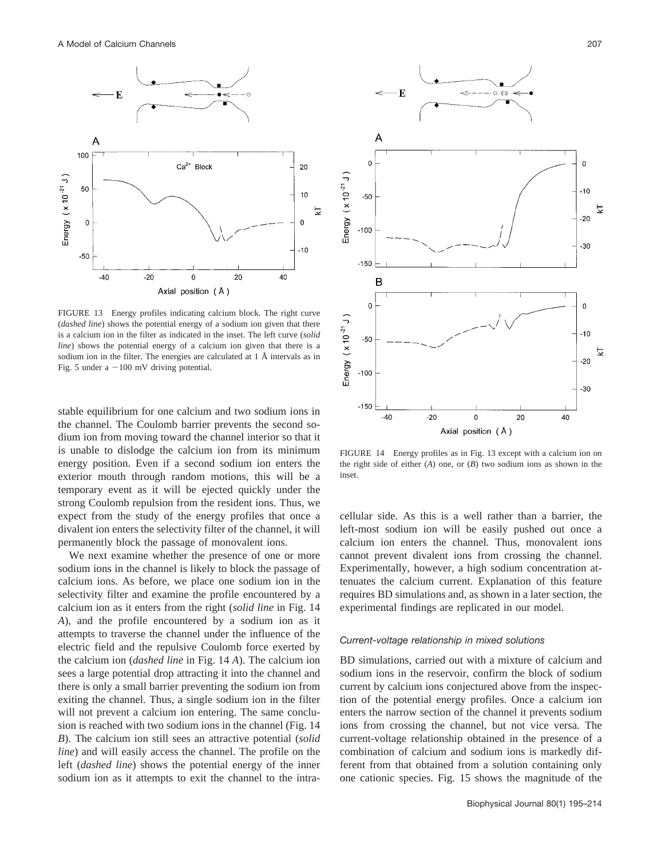

FIGURE 13 Energy profiles indicating calcium block. The right curve (*dashed line*) shows the potential energy of a sodium ion given that there is a calcium ion in the filter as indicated in the inset. The left curve (*solid line*) shows the potential energy of a calcium ion given that there is a sodium ion in the filter. The energies are calculated at 1 Å intervals as in Fig. 5 under a  $-100$  mV driving potential.

stable equilibrium for one calcium and two sodium ions in the channel. The Coulomb barrier prevents the second sodium ion from moving toward the channel interior so that it is unable to dislodge the calcium ion from its minimum energy position. Even if a second sodium ion enters the exterior mouth through random motions, this will be a temporary event as it will be ejected quickly under the strong Coulomb repulsion from the resident ions. Thus, we expect from the study of the energy profiles that once a divalent ion enters the selectivity filter of the channel, it will permanently block the passage of monovalent ions.

We next examine whether the presence of one or more sodium ions in the channel is likely to block the passage of calcium ions. As before, we place one sodium ion in the selectivity filter and examine the profile encountered by a calcium ion as it enters from the right (*solid line* in Fig. 14 *A*), and the profile encountered by a sodium ion as it attempts to traverse the channel under the influence of the electric field and the repulsive Coulomb force exerted by the calcium ion (*dashed line* in Fig. 14 *A*). The calcium ion sees a large potential drop attracting it into the channel and there is only a small barrier preventing the sodium ion from exiting the channel. Thus, a single sodium ion in the filter will not prevent a calcium ion entering. The same conclusion is reached with two sodium ions in the channel (Fig. 14 *B*). The calcium ion still sees an attractive potential (*solid line*) and will easily access the channel. The profile on the left (*dashed line*) shows the potential energy of the inner sodium ion as it attempts to exit the channel to the intra-



FIGURE 14 Energy profiles as in Fig. 13 except with a calcium ion on the right side of either (*A*) one, or (*B*) two sodium ions as shown in the inset.

cellular side. As this is a well rather than a barrier, the left-most sodium ion will be easily pushed out once a calcium ion enters the channel. Thus, monovalent ions cannot prevent divalent ions from crossing the channel. Experimentally, however, a high sodium concentration attenuates the calcium current. Explanation of this feature requires BD simulations and, as shown in a later section, the experimental findings are replicated in our model.

#### *Current-voltage relationship in mixed solutions*

BD simulations, carried out with a mixture of calcium and sodium ions in the reservoir, confirm the block of sodium current by calcium ions conjectured above from the inspection of the potential energy profiles. Once a calcium ion enters the narrow section of the channel it prevents sodium ions from crossing the channel, but not vice versa. The current-voltage relationship obtained in the presence of a combination of calcium and sodium ions is markedly different from that obtained from a solution containing only one cationic species. Fig. 15 shows the magnitude of the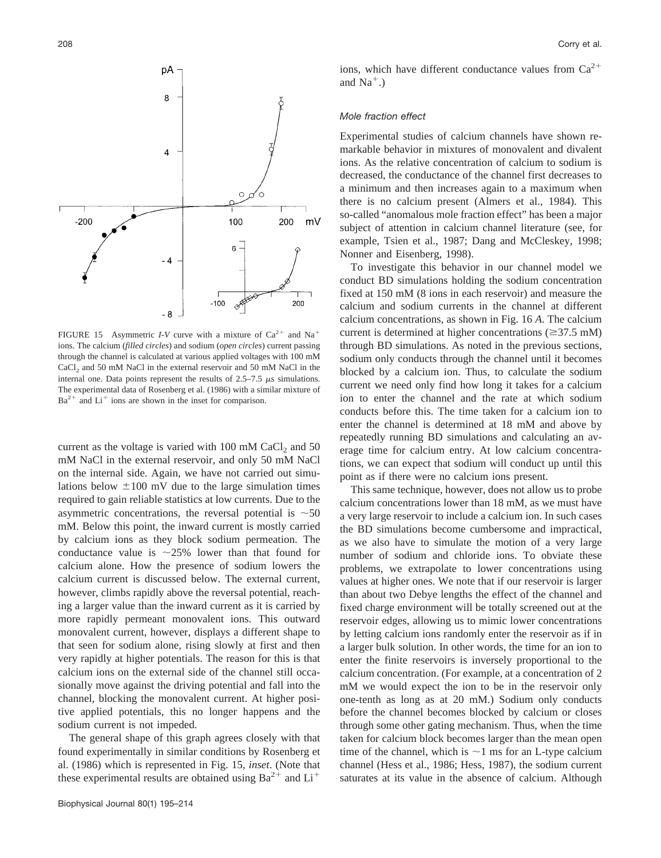

FIGURE 15 Asymmetric *I-V* curve with a mixture of  $Ca^{2+}$  and  $Na^{+}$ ions. The calcium (*filled circles*) and sodium (*open circles*) current passing through the channel is calculated at various applied voltages with 100 mM CaCl<sub>2</sub> and 50 mM NaCl in the external reservoir and 50 mM NaCl in the internal one. Data points represent the results of  $2.5-7.5$   $\mu$ s simulations. The experimental data of Rosenberg et al. (1986) with a similar mixture of  $Ba^{2+}$  and  $Li^{+}$  ions are shown in the inset for comparison.

current as the voltage is varied with  $100 \text{ mM } CaCl<sub>2</sub>$  and  $50$ mM NaCl in the external reservoir, and only 50 mM NaCl on the internal side. Again, we have not carried out simulations below  $\pm 100$  mV due to the large simulation times required to gain reliable statistics at low currents. Due to the asymmetric concentrations, the reversal potential is  $\sim$  50 mM. Below this point, the inward current is mostly carried by calcium ions as they block sodium permeation. The conductance value is  $\sim$ 25% lower than that found for calcium alone. How the presence of sodium lowers the calcium current is discussed below. The external current, however, climbs rapidly above the reversal potential, reaching a larger value than the inward current as it is carried by more rapidly permeant monovalent ions. This outward monovalent current, however, displays a different shape to that seen for sodium alone, rising slowly at first and then very rapidly at higher potentials. The reason for this is that calcium ions on the external side of the channel still occasionally move against the driving potential and fall into the channel, blocking the monovalent current. At higher positive applied potentials, this no longer happens and the sodium current is not impeded.

The general shape of this graph agrees closely with that found experimentally in similar conditions by Rosenberg et al. (1986) which is represented in Fig. 15, *inset*. (Note that these experimental results are obtained using  $Ba^{2+}$  and  $Li^{+}$ 

ions, which have different conductance values from  $Ca^{2+}$ and  $Na<sup>+</sup>$ .)

## *Mole fraction effect*

Experimental studies of calcium channels have shown remarkable behavior in mixtures of monovalent and divalent ions. As the relative concentration of calcium to sodium is decreased, the conductance of the channel first decreases to a minimum and then increases again to a maximum when there is no calcium present (Almers et al., 1984). This so-called "anomalous mole fraction effect" has been a major subject of attention in calcium channel literature (see, for example, Tsien et al., 1987; Dang and McCleskey, 1998; Nonner and Eisenberg, 1998).

To investigate this behavior in our channel model we conduct BD simulations holding the sodium concentration fixed at 150 mM (8 ions in each reservoir) and measure the calcium and sodium currents in the channel at different calcium concentrations, as shown in Fig. 16 *A*. The calcium current is determined at higher concentrations  $(\geq 37.5 \text{ mM})$ through BD simulations. As noted in the previous sections, sodium only conducts through the channel until it becomes blocked by a calcium ion. Thus, to calculate the sodium current we need only find how long it takes for a calcium ion to enter the channel and the rate at which sodium conducts before this. The time taken for a calcium ion to enter the channel is determined at 18 mM and above by repeatedly running BD simulations and calculating an average time for calcium entry. At low calcium concentrations, we can expect that sodium will conduct up until this point as if there were no calcium ions present.

This same technique, however, does not allow us to probe calcium concentrations lower than 18 mM, as we must have a very large reservoir to include a calcium ion. In such cases the BD simulations become cumbersome and impractical, as we also have to simulate the motion of a very large number of sodium and chloride ions. To obviate these problems, we extrapolate to lower concentrations using values at higher ones. We note that if our reservoir is larger than about two Debye lengths the effect of the channel and fixed charge environment will be totally screened out at the reservoir edges, allowing us to mimic lower concentrations by letting calcium ions randomly enter the reservoir as if in a larger bulk solution. In other words, the time for an ion to enter the finite reservoirs is inversely proportional to the calcium concentration. (For example, at a concentration of 2 mM we would expect the ion to be in the reservoir only one-tenth as long as at 20 mM.) Sodium only conducts before the channel becomes blocked by calcium or closes through some other gating mechanism. Thus, when the time taken for calcium block becomes larger than the mean open time of the channel, which is  $\sim$ 1 ms for an L-type calcium channel (Hess et al., 1986; Hess, 1987), the sodium current saturates at its value in the absence of calcium. Although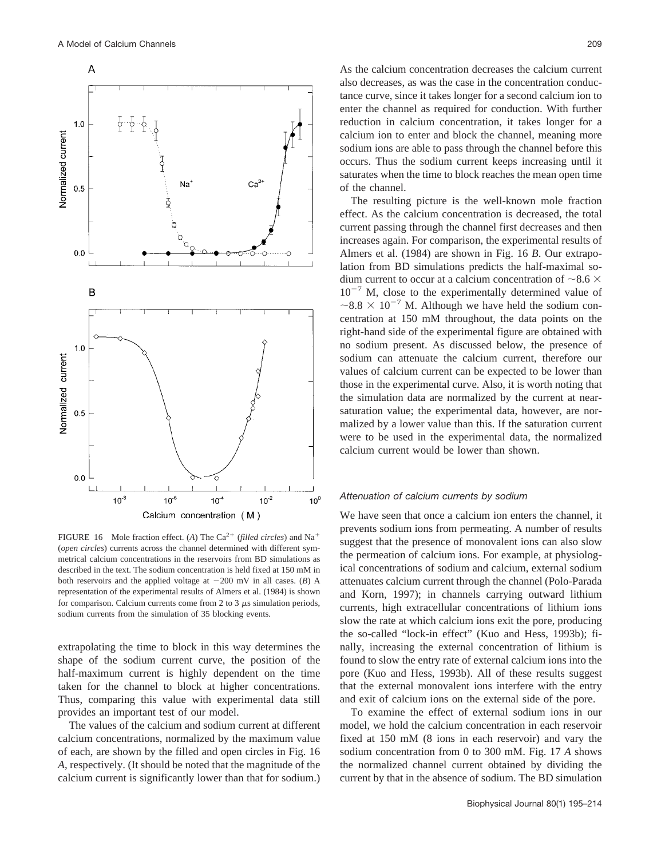

FIGURE 16 Mole fraction effect. (*A*) The Ca<sup>2+</sup> (*filled circles*) and Na<sup>+</sup> (*open circles*) currents across the channel determined with different symmetrical calcium concentrations in the reservoirs from BD simulations as described in the text. The sodium concentration is held fixed at 150 mM in both reservoirs and the applied voltage at  $-200$  mV in all cases. (*B*) A representation of the experimental results of Almers et al. (1984) is shown for comparison. Calcium currents come from 2 to 3  $\mu$ s simulation periods, sodium currents from the simulation of 35 blocking events.

extrapolating the time to block in this way determines the shape of the sodium current curve, the position of the half-maximum current is highly dependent on the time taken for the channel to block at higher concentrations. Thus, comparing this value with experimental data still provides an important test of our model.

The values of the calcium and sodium current at different calcium concentrations, normalized by the maximum value of each, are shown by the filled and open circles in Fig. 16 *A*, respectively. (It should be noted that the magnitude of the calcium current is significantly lower than that for sodium.)

As the calcium concentration decreases the calcium current also decreases, as was the case in the concentration conductance curve, since it takes longer for a second calcium ion to enter the channel as required for conduction. With further reduction in calcium concentration, it takes longer for a calcium ion to enter and block the channel, meaning more sodium ions are able to pass through the channel before this occurs. Thus the sodium current keeps increasing until it saturates when the time to block reaches the mean open time of the channel.

The resulting picture is the well-known mole fraction effect. As the calcium concentration is decreased, the total current passing through the channel first decreases and then increases again. For comparison, the experimental results of Almers et al. (1984) are shown in Fig. 16 *B*. Our extrapolation from BD simulations predicts the half-maximal sodium current to occur at a calcium concentration of  $\sim$ 8.6  $\times$  $10^{-7}$  M, close to the experimentally determined value of  $\sim$ 8.8  $\times$  10<sup>-7</sup> M. Although we have held the sodium concentration at 150 mM throughout, the data points on the right-hand side of the experimental figure are obtained with no sodium present. As discussed below, the presence of sodium can attenuate the calcium current, therefore our values of calcium current can be expected to be lower than those in the experimental curve. Also, it is worth noting that the simulation data are normalized by the current at nearsaturation value; the experimental data, however, are normalized by a lower value than this. If the saturation current were to be used in the experimental data, the normalized calcium current would be lower than shown.

## *Attenuation of calcium currents by sodium*

We have seen that once a calcium ion enters the channel, it prevents sodium ions from permeating. A number of results suggest that the presence of monovalent ions can also slow the permeation of calcium ions. For example, at physiological concentrations of sodium and calcium, external sodium attenuates calcium current through the channel (Polo-Parada and Korn, 1997); in channels carrying outward lithium currents, high extracellular concentrations of lithium ions slow the rate at which calcium ions exit the pore, producing the so-called "lock-in effect" (Kuo and Hess, 1993b); finally, increasing the external concentration of lithium is found to slow the entry rate of external calcium ions into the pore (Kuo and Hess, 1993b). All of these results suggest that the external monovalent ions interfere with the entry and exit of calcium ions on the external side of the pore.

To examine the effect of external sodium ions in our model, we hold the calcium concentration in each reservoir fixed at 150 mM (8 ions in each reservoir) and vary the sodium concentration from 0 to 300 mM. Fig. 17 *A* shows the normalized channel current obtained by dividing the current by that in the absence of sodium. The BD simulation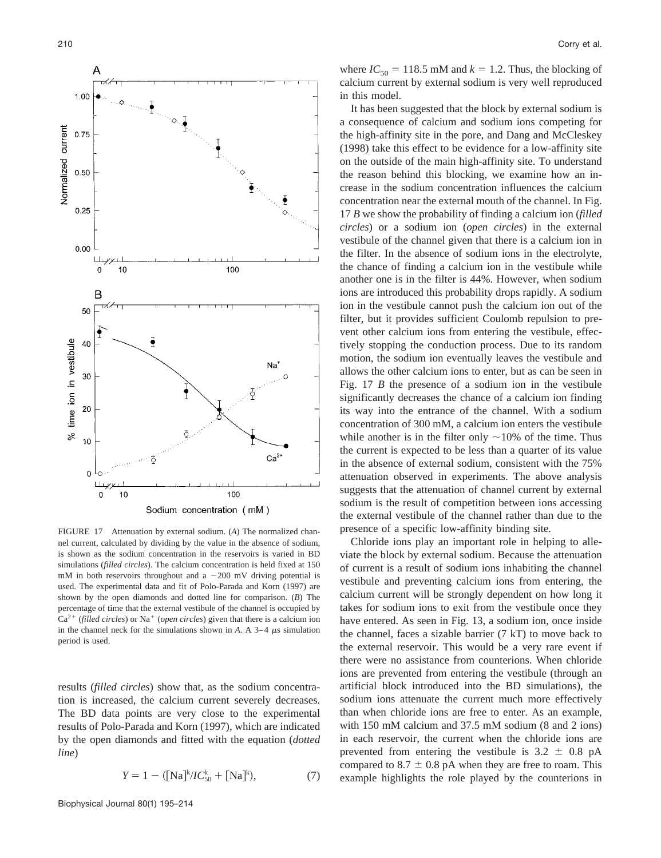

FIGURE 17 Attenuation by external sodium. (*A*) The normalized channel current, calculated by dividing by the value in the absence of sodium, is shown as the sodium concentration in the reservoirs is varied in BD simulations (*filled circles*). The calcium concentration is held fixed at 150 mM in both reservoirs throughout and a  $-200$  mV driving potential is used. The experimental data and fit of Polo-Parada and Korn (1997) are shown by the open diamonds and dotted line for comparison. (*B*) The percentage of time that the external vestibule of the channel is occupied by  $Ca^{2+}$  (*filled circles*) or Na<sup>+</sup> (*open circles*) given that there is a calcium ion in the channel neck for the simulations shown in  $A$ . A  $3-4$   $\mu$ s simulation period is used.

results (*filled circles*) show that, as the sodium concentration is increased, the calcium current severely decreases. The BD data points are very close to the experimental results of Polo-Parada and Korn (1997), which are indicated by the open diamonds and fitted with the equation (*dotted line*)

$$
Y = 1 - ([Na]k/IC50k + [Na]k), \t(7)
$$

where  $IC_{50} = 118.5$  mM and  $k = 1.2$ . Thus, the blocking of calcium current by external sodium is very well reproduced in this model.

It has been suggested that the block by external sodium is a consequence of calcium and sodium ions competing for the high-affinity site in the pore, and Dang and McCleskey (1998) take this effect to be evidence for a low-affinity site on the outside of the main high-affinity site. To understand the reason behind this blocking, we examine how an increase in the sodium concentration influences the calcium concentration near the external mouth of the channel. In Fig. 17 *B* we show the probability of finding a calcium ion (*filled circles*) or a sodium ion (*open circles*) in the external vestibule of the channel given that there is a calcium ion in the filter. In the absence of sodium ions in the electrolyte, the chance of finding a calcium ion in the vestibule while another one is in the filter is 44%. However, when sodium ions are introduced this probability drops rapidly. A sodium ion in the vestibule cannot push the calcium ion out of the filter, but it provides sufficient Coulomb repulsion to prevent other calcium ions from entering the vestibule, effectively stopping the conduction process. Due to its random motion, the sodium ion eventually leaves the vestibule and allows the other calcium ions to enter, but as can be seen in Fig. 17 *B* the presence of a sodium ion in the vestibule significantly decreases the chance of a calcium ion finding its way into the entrance of the channel. With a sodium concentration of 300 mM, a calcium ion enters the vestibule while another is in the filter only  $\sim$ 10% of the time. Thus the current is expected to be less than a quarter of its value in the absence of external sodium, consistent with the 75% attenuation observed in experiments. The above analysis suggests that the attenuation of channel current by external sodium is the result of competition between ions accessing the external vestibule of the channel rather than due to the presence of a specific low-affinity binding site.

Chloride ions play an important role in helping to alleviate the block by external sodium. Because the attenuation of current is a result of sodium ions inhabiting the channel vestibule and preventing calcium ions from entering, the calcium current will be strongly dependent on how long it takes for sodium ions to exit from the vestibule once they have entered. As seen in Fig. 13, a sodium ion, once inside the channel, faces a sizable barrier (7 kT) to move back to the external reservoir. This would be a very rare event if there were no assistance from counterions. When chloride ions are prevented from entering the vestibule (through an artificial block introduced into the BD simulations), the sodium ions attenuate the current much more effectively than when chloride ions are free to enter. As an example, with 150 mM calcium and 37.5 mM sodium (8 and 2 ions) in each reservoir, the current when the chloride ions are prevented from entering the vestibule is  $3.2 \pm 0.8$  pA compared to 8.7  $\pm$  0.8 pA when they are free to roam. This example highlights the role played by the counterions in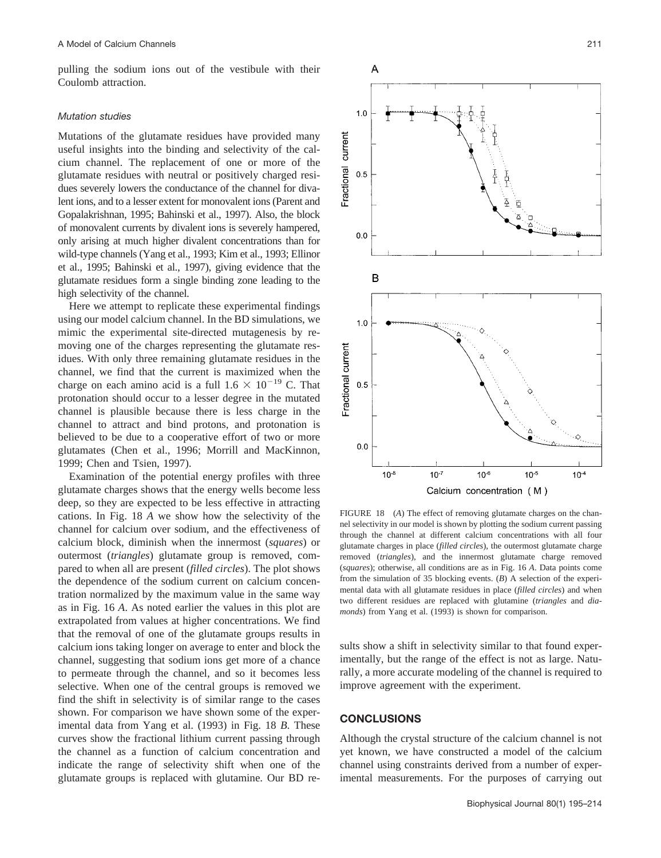pulling the sodium ions out of the vestibule with their Coulomb attraction.

## *Mutation studies*

Mutations of the glutamate residues have provided many useful insights into the binding and selectivity of the calcium channel. The replacement of one or more of the glutamate residues with neutral or positively charged residues severely lowers the conductance of the channel for divalent ions, and to a lesser extent for monovalent ions (Parent and Gopalakrishnan, 1995; Bahinski et al., 1997). Also, the block of monovalent currents by divalent ions is severely hampered, only arising at much higher divalent concentrations than for wild-type channels (Yang et al., 1993; Kim et al., 1993; Ellinor et al., 1995; Bahinski et al., 1997), giving evidence that the glutamate residues form a single binding zone leading to the high selectivity of the channel.

Here we attempt to replicate these experimental findings using our model calcium channel. In the BD simulations, we mimic the experimental site-directed mutagenesis by removing one of the charges representing the glutamate residues. With only three remaining glutamate residues in the channel, we find that the current is maximized when the charge on each amino acid is a full  $1.6 \times 10^{-19}$  C. That protonation should occur to a lesser degree in the mutated channel is plausible because there is less charge in the channel to attract and bind protons, and protonation is believed to be due to a cooperative effort of two or more glutamates (Chen et al., 1996; Morrill and MacKinnon, 1999; Chen and Tsien, 1997).

Examination of the potential energy profiles with three glutamate charges shows that the energy wells become less deep, so they are expected to be less effective in attracting cations. In Fig. 18 *A* we show how the selectivity of the channel for calcium over sodium, and the effectiveness of calcium block, diminish when the innermost (*squares*) or outermost (*triangles*) glutamate group is removed, compared to when all are present (*filled circles*). The plot shows the dependence of the sodium current on calcium concentration normalized by the maximum value in the same way as in Fig. 16 *A*. As noted earlier the values in this plot are extrapolated from values at higher concentrations. We find that the removal of one of the glutamate groups results in calcium ions taking longer on average to enter and block the channel, suggesting that sodium ions get more of a chance to permeate through the channel, and so it becomes less selective. When one of the central groups is removed we find the shift in selectivity is of similar range to the cases shown. For comparison we have shown some of the experimental data from Yang et al. (1993) in Fig. 18 *B*. These curves show the fractional lithium current passing through the channel as a function of calcium concentration and indicate the range of selectivity shift when one of the glutamate groups is replaced with glutamine. Our BD re-



FIGURE 18 (*A*) The effect of removing glutamate charges on the channel selectivity in our model is shown by plotting the sodium current passing through the channel at different calcium concentrations with all four glutamate charges in place (*filled circles*), the outermost glutamate charge removed (*triangles*), and the innermost glutamate charge removed (*squares*); otherwise, all conditions are as in Fig. 16 *A*. Data points come from the simulation of 35 blocking events. (*B*) A selection of the experimental data with all glutamate residues in place (*filled circles*) and when two different residues are replaced with glutamine (*triangles* and *diamonds*) from Yang et al. (1993) is shown for comparison.

sults show a shift in selectivity similar to that found experimentally, but the range of the effect is not as large. Naturally, a more accurate modeling of the channel is required to improve agreement with the experiment.

# **CONCLUSIONS**

Although the crystal structure of the calcium channel is not yet known, we have constructed a model of the calcium channel using constraints derived from a number of experimental measurements. For the purposes of carrying out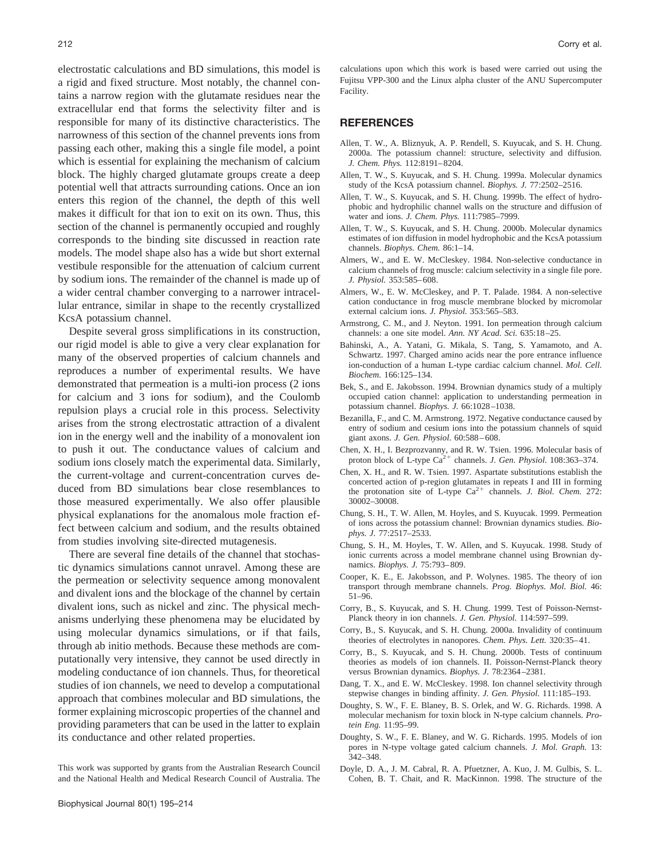electrostatic calculations and BD simulations, this model is a rigid and fixed structure. Most notably, the channel contains a narrow region with the glutamate residues near the extracellular end that forms the selectivity filter and is responsible for many of its distinctive characteristics. The narrowness of this section of the channel prevents ions from passing each other, making this a single file model, a point which is essential for explaining the mechanism of calcium block. The highly charged glutamate groups create a deep potential well that attracts surrounding cations. Once an ion enters this region of the channel, the depth of this well makes it difficult for that ion to exit on its own. Thus, this section of the channel is permanently occupied and roughly corresponds to the binding site discussed in reaction rate models. The model shape also has a wide but short external vestibule responsible for the attenuation of calcium current by sodium ions. The remainder of the channel is made up of a wider central chamber converging to a narrower intracellular entrance, similar in shape to the recently crystallized KcsA potassium channel.

Despite several gross simplifications in its construction, our rigid model is able to give a very clear explanation for many of the observed properties of calcium channels and reproduces a number of experimental results. We have demonstrated that permeation is a multi-ion process (2 ions for calcium and 3 ions for sodium), and the Coulomb repulsion plays a crucial role in this process. Selectivity arises from the strong electrostatic attraction of a divalent ion in the energy well and the inability of a monovalent ion to push it out. The conductance values of calcium and sodium ions closely match the experimental data. Similarly, the current-voltage and current-concentration curves deduced from BD simulations bear close resemblances to those measured experimentally. We also offer plausible physical explanations for the anomalous mole fraction effect between calcium and sodium, and the results obtained from studies involving site-directed mutagenesis.

There are several fine details of the channel that stochastic dynamics simulations cannot unravel. Among these are the permeation or selectivity sequence among monovalent and divalent ions and the blockage of the channel by certain divalent ions, such as nickel and zinc. The physical mechanisms underlying these phenomena may be elucidated by using molecular dynamics simulations, or if that fails, through ab initio methods. Because these methods are computationally very intensive, they cannot be used directly in modeling conductance of ion channels. Thus, for theoretical studies of ion channels, we need to develop a computational approach that combines molecular and BD simulations, the former explaining microscopic properties of the channel and providing parameters that can be used in the latter to explain its conductance and other related properties.

This work was supported by grants from the Australian Research Council and the National Health and Medical Research Council of Australia. The calculations upon which this work is based were carried out using the Fujitsu VPP-300 and the Linux alpha cluster of the ANU Supercomputer Facility.

# **REFERENCES**

- Allen, T. W., A. Bliznyuk, A. P. Rendell, S. Kuyucak, and S. H. Chung. 2000a. The potassium channel: structure, selectivity and diffusion. *J. Chem. Phys.* 112:8191–8204.
- Allen, T. W., S. Kuyucak, and S. H. Chung. 1999a. Molecular dynamics study of the KcsA potassium channel. *Biophys. J.* 77:2502–2516.
- Allen, T. W., S. Kuyucak, and S. H. Chung. 1999b. The effect of hydrophobic and hydrophilic channel walls on the structure and diffusion of water and ions. *J. Chem. Phys.* 111:7985–7999.
- Allen, T. W., S. Kuyucak, and S. H. Chung. 2000b. Molecular dynamics estimates of ion diffusion in model hydrophobic and the KcsA potassium channels. *Biophys. Chem.* 86:1–14.
- Almers, W., and E. W. McCleskey. 1984. Non-selective conductance in calcium channels of frog muscle: calcium selectivity in a single file pore. *J. Physiol.* 353:585–608.
- Almers, W., E. W. McCleskey, and P. T. Palade. 1984. A non-selective cation conductance in frog muscle membrane blocked by micromolar external calcium ions. *J. Physiol.* 353:565–583.
- Armstrong, C. M., and J. Neyton. 1991. Ion permeation through calcium channels: a one site model. *Ann. NY Acad. Sci.* 635:18–25.
- Bahinski, A., A. Yatani, G. Mikala, S. Tang, S. Yamamoto, and A. Schwartz. 1997. Charged amino acids near the pore entrance influence ion-conduction of a human L-type cardiac calcium channel. *Mol. Cell. Biochem.* 166:125–134.
- Bek, S., and E. Jakobsson. 1994. Brownian dynamics study of a multiply occupied cation channel: application to understanding permeation in potassium channel. *Biophys. J.* 66:1028–1038.
- Bezanilla, F., and C. M. Armstrong. 1972. Negative conductance caused by entry of sodium and cesium ions into the potassium channels of squid giant axons. *J. Gen. Physiol.* 60:588–608.
- Chen, X. H., I. Bezprozvanny, and R. W. Tsien. 1996. Molecular basis of proton block of L-type Ca<sup>2+</sup> channels. *J. Gen. Physiol.* 108:363-374.
- Chen, X. H., and R. W. Tsien. 1997. Aspartate substitutions establish the concerted action of p-region glutamates in repeats I and III in forming the protonation site of L-type Ca<sup>2+</sup> channels. *J. Biol. Chem.* 272: 30002–30008.
- Chung, S. H., T. W. Allen, M. Hoyles, and S. Kuyucak. 1999. Permeation of ions across the potassium channel: Brownian dynamics studies. *Biophys. J.* 77:2517–2533.
- Chung, S. H., M. Hoyles, T. W. Allen, and S. Kuyucak. 1998. Study of ionic currents across a model membrane channel using Brownian dynamics. *Biophys. J.* 75:793–809.
- Cooper, K. E., E. Jakobsson, and P. Wolynes. 1985. The theory of ion transport through membrane channels. *Prog. Biophys. Mol. Biol.* 46: 51–96.
- Corry, B., S. Kuyucak, and S. H. Chung. 1999. Test of Poisson-Nernst-Planck theory in ion channels. *J. Gen. Physiol.* 114:597–599.
- Corry, B., S. Kuyucak, and S. H. Chung. 2000a. Invalidity of continuum theories of electrolytes in nanopores. *Chem. Phys. Lett.* 320:35–41.
- Corry, B., S. Kuyucak, and S. H. Chung. 2000b. Tests of continuum theories as models of ion channels. II. Poisson-Nernst-Planck theory versus Brownian dynamics. *Biophys. J.* 78:2364–2381.
- Dang, T. X., and E. W. McCleskey. 1998. Ion channel selectivity through stepwise changes in binding affinity. *J. Gen. Physiol.* 111:185–193.
- Doughty, S. W., F. E. Blaney, B. S. Orlek, and W. G. Richards. 1998. A molecular mechanism for toxin block in N-type calcium channels. *Protein Eng.* 11:95–99.
- Doughty, S. W., F. E. Blaney, and W. G. Richards. 1995. Models of ion pores in N-type voltage gated calcium channels. *J. Mol. Graph.* 13: 342–348.
- Doyle, D. A., J. M. Cabral, R. A. Pfuetzner, A. Kuo, J. M. Gulbis, S. L. Cohen, B. T. Chait, and R. MacKinnon. 1998. The structure of the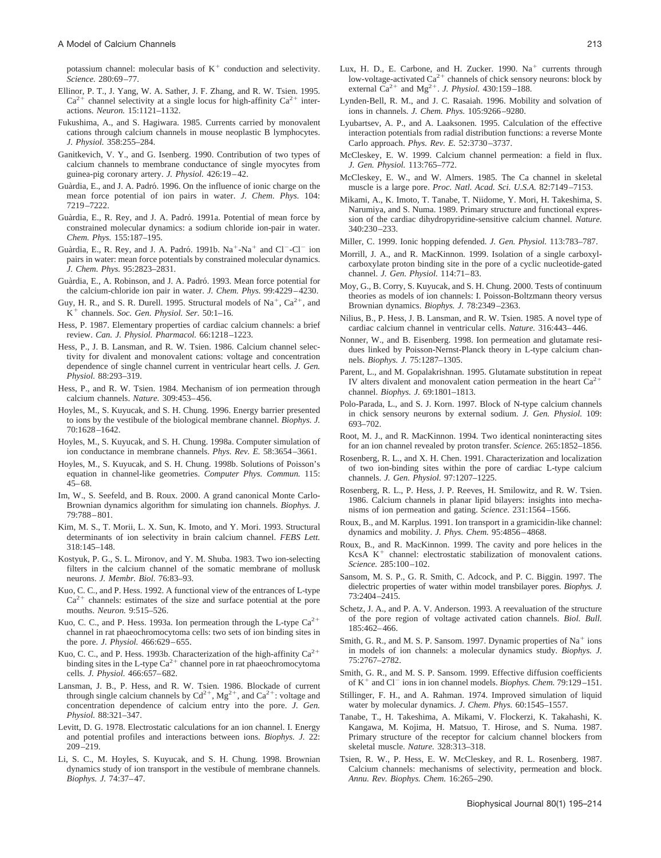potassium channel: molecular basis of  $K^+$  conduction and selectivity. *Science.* 280:69–77.

- Ellinor, P. T., J. Yang, W. A. Sather, J. F. Zhang, and R. W. Tsien. 1995.  $Ca^{2+}$  channel selectivity at a single locus for high-affinity  $Ca^{2+}$  interactions. *Neuron.* 15:1121–1132.
- Fukushima, A., and S. Hagiwara. 1985. Currents carried by monovalent cations through calcium channels in mouse neoplastic B lymphocytes. *J. Physiol.* 358:255–284.
- Ganitkevich, V. Y., and G. Isenberg. 1990. Contribution of two types of calcium channels to membrane conductance of single myocytes from guinea-pig coronary artery. *J. Physiol.* 426:19–42.
- Guàrdia, E., and J. A. Padró. 1996. On the influence of ionic charge on the mean force potential of ion pairs in water. *J. Chem. Phys.* 104: 7219–7222.
- Guàrdia, E., R. Rey, and J. A. Padró. 1991a. Potential of mean force by constrained molecular dynamics: a sodium chloride ion-pair in water. *Chem. Phys.* 155:187–195.
- Guàrdia, E., R. Rey, and J. A. Padró. 1991b.  $Na^+$ -Na<sup>+</sup> and Cl<sup>-</sup>-Cl<sup>-</sup> ion pairs in water: mean force potentials by constrained molecular dynamics. *J. Chem. Phys.* 95:2823–2831.
- Guàrdia, E., A. Robinson, and J. A. Padró. 1993. Mean force potential for the calcium-chloride ion pair in water. *J. Chem. Phys.* 99:4229–4230.
- Guy, H. R., and S. R. Durell. 1995. Structural models of  $Na<sup>+</sup>$ ,  $Ca<sup>2+</sup>$ , and K<sup>+</sup> channels. *Soc. Gen. Physiol. Ser.* 50:1-16.
- Hess, P. 1987. Elementary properties of cardiac calcium channels: a brief review. *Can. J. Physiol. Pharmacol.* 66:1218–1223.
- Hess, P., J. B. Lansman, and R. W. Tsien. 1986. Calcium channel selectivity for divalent and monovalent cations: voltage and concentration dependence of single channel current in ventricular heart cells. *J. Gen. Physiol.* 88:293–319.
- Hess, P., and R. W. Tsien. 1984. Mechanism of ion permeation through calcium channels. *Nature.* 309:453–456.
- Hoyles, M., S. Kuyucak, and S. H. Chung. 1996. Energy barrier presented to ions by the vestibule of the biological membrane channel. *Biophys. J.* 70:1628–1642.
- Hoyles, M., S. Kuyucak, and S. H. Chung. 1998a. Computer simulation of ion conductance in membrane channels. *Phys. Rev. E.* 58:3654–3661.
- Hoyles, M., S. Kuyucak, and S. H. Chung. 1998b. Solutions of Poisson's equation in channel-like geometries. *Computer Phys. Commun.* 115: 45–68.
- Im, W., S. Seefeld, and B. Roux. 2000. A grand canonical Monte Carlo-Brownian dynamics algorithm for simulating ion channels. *Biophys. J.* 79:788–801.
- Kim, M. S., T. Morii, L. X. Sun, K. Imoto, and Y. Mori. 1993. Structural determinants of ion selectivity in brain calcium channel. *FEBS Lett.* 318:145–148.
- Kostyuk, P. G., S. L. Mironov, and Y. M. Shuba. 1983. Two ion-selecting filters in the calcium channel of the somatic membrane of mollusk neurons. *J. Membr. Biol.* 76:83–93.
- Kuo, C. C., and P. Hess. 1992. A functional view of the entrances of L-type  $Ca<sup>2+</sup>$  channels: estimates of the size and surface potential at the pore mouths. *Neuron.* 9:515–526.
- Kuo, C. C., and P. Hess. 1993a. Ion permeation through the L-type  $Ca^{2+}$ channel in rat phaeochromocytoma cells: two sets of ion binding sites in the pore. *J. Physiol.* 466:629–655.
- Kuo, C. C., and P. Hess. 1993b. Characterization of the high-affinity  $Ca^{2+}$ binding sites in the L-type  $Ca^{2+}$  channel pore in rat phaeochromocytoma cells. *J. Physiol.* 466:657–682.
- Lansman, J. B., P. Hess, and R. W. Tsien. 1986. Blockade of current through single calcium channels by  $Cd^{2+}$ ,  $Mg^{2+}$ , and  $Ca^{2+}$ : voltage and concentration dependence of calcium entry into the pore. *J. Gen. Physiol.* 88:321–347.
- Levitt, D. G. 1978. Electrostatic calculations for an ion channel. I. Energy and potential profiles and interactions between ions. *Biophys. J.* 22: 209–219.
- Li, S. C., M. Hoyles, S. Kuyucak, and S. H. Chung. 1998. Brownian dynamics study of ion transport in the vestibule of membrane channels. *Biophys. J.* 74:37–47.
- Lux, H. D., E. Carbone, and H. Zucker. 1990.  $Na<sup>+</sup>$  currents through low-voltage-activated  $Ca^{2+}$  channels of chick sensory neurons: block by external  $\text{Ca}^{2+}$  and  $\text{Mg}^{2+}$ . *J. Physiol.* 430:159–188.
- Lynden-Bell, R. M., and J. C. Rasaiah. 1996. Mobility and solvation of ions in channels. *J. Chem. Phys.* 105:9266–9280.
- Lyubartsev, A. P., and A. Laaksonen. 1995. Calculation of the effective interaction potentials from radial distribution functions: a reverse Monte Carlo approach. *Phys. Rev. E.* 52:3730–3737.
- McCleskey, E. W. 1999. Calcium channel permeation: a field in flux. *J. Gen. Physiol.* 113:765–772.
- McCleskey, E. W., and W. Almers. 1985. The Ca channel in skeletal muscle is a large pore. *Proc. Natl. Acad. Sci. U.S.A.* 82:7149–7153.
- Mikami, A., K. Imoto, T. Tanabe, T. Niidome, Y. Mori, H. Takeshima, S. Narumiya, and S. Numa. 1989. Primary structure and functional expression of the cardiac dihydropyridine-sensitive calcium channel. *Nature.* 340:230–233.
- Miller, C. 1999. Ionic hopping defended. *J. Gen. Physiol.* 113:783–787.
- Morrill, J. A., and R. MacKinnon. 1999. Isolation of a single carboxylcarboxylate proton binding site in the pore of a cyclic nucleotide-gated channel. *J. Gen. Physiol.* 114:71–83.
- Moy, G., B. Corry, S. Kuyucak, and S. H. Chung. 2000. Tests of continuum theories as models of ion channels: I. Poisson-Boltzmann theory versus Brownian dynamics. *Biophys. J.* 78:2349–2363.
- Nilius, B., P. Hess, J. B. Lansman, and R. W. Tsien. 1985. A novel type of cardiac calcium channel in ventricular cells. *Nature.* 316:443–446.
- Nonner, W., and B. Eisenberg. 1998. Ion permeation and glutamate residues linked by Poisson-Nernst-Planck theory in L-type calcium channels. *Biophys. J.* 75:1287–1305.
- Parent, L., and M. Gopalakrishnan. 1995. Glutamate substitution in repeat IV alters divalent and monovalent cation permeation in the heart  $Ca^{2+}$ channel. *Biophys. J.* 69:1801–1813.
- Polo-Parada, L., and S. J. Korn. 1997. Block of N-type calcium channels in chick sensory neurons by external sodium. *J. Gen. Physiol.* 109: 693–702.
- Root, M. J., and R. MacKinnon. 1994. Two identical noninteracting sites for an ion channel revealed by proton transfer. *Science.* 265:1852–1856.
- Rosenberg, R. L., and X. H. Chen. 1991. Characterization and localization of two ion-binding sites within the pore of cardiac L-type calcium channels. *J. Gen. Physiol.* 97:1207–1225.
- Rosenberg, R. L., P. Hess, J. P. Reeves, H. Smilowitz, and R. W. Tsien. 1986. Calcium channels in planar lipid bilayers: insights into mechanisms of ion permeation and gating. *Science.* 231:1564–1566.
- Roux, B., and M. Karplus. 1991. Ion transport in a gramicidin-like channel: dynamics and mobility. *J. Phys. Chem.* 95:4856–4868.
- Roux, B., and R. MacKinnon. 1999. The cavity and pore helices in the KcsA  $K^+$  channel: electrostatic stabilization of monovalent cations. *Science.* 285:100–102.
- Sansom, M. S. P., G. R. Smith, C. Adcock, and P. C. Biggin. 1997. The dielectric properties of water within model transbilayer pores. *Biophys. J.* 73:2404–2415.
- Schetz, J. A., and P. A. V. Anderson. 1993. A reevaluation of the structure of the pore region of voltage activated cation channels. *Biol. Bull.* 185:462–466.
- Smith, G. R., and M. S. P. Sansom. 1997. Dynamic properties of  $Na<sup>+</sup>$  ions in models of ion channels: a molecular dynamics study. *Biophys. J.* 75:2767–2782.
- Smith, G. R., and M. S. P. Sansom. 1999. Effective diffusion coefficients of K<sup>+</sup> and Cl<sup>-</sup> ions in ion channel models. *Biophys. Chem.* 79:129–151.
- Stillinger, F. H., and A. Rahman. 1974. Improved simulation of liquid water by molecular dynamics. *J. Chem. Phys.* 60:1545–1557.
- Tanabe, T., H. Takeshima, A. Mikami, V. Flockerzi, K. Takahashi, K. Kangawa, M. Kojima, H. Matsuo, T. Hirose, and S. Numa. 1987. Primary structure of the receptor for calcium channel blockers from skeletal muscle. *Nature.* 328:313–318.
- Tsien, R. W., P. Hess, E. W. McCleskey, and R. L. Rosenberg. 1987. Calcium channels: mechanisms of selectivity, permeation and block. *Annu. Rev. Biophys. Chem.* 16:265–290.